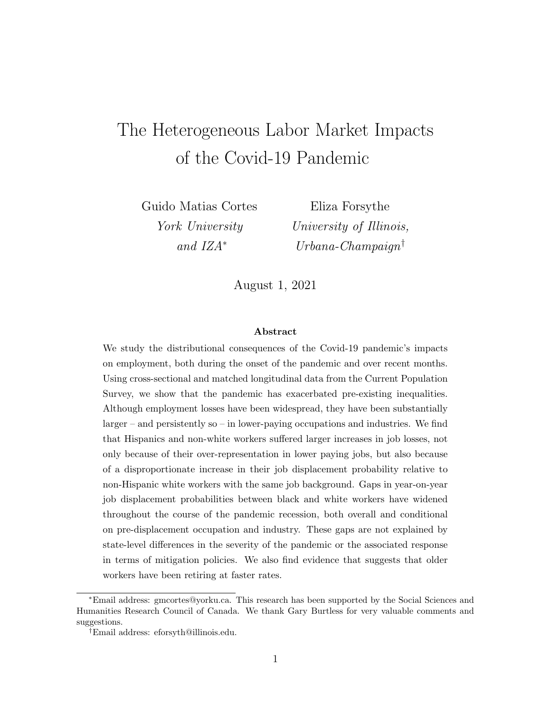# The Heterogeneous Labor Market Impacts of the Covid-19 Pandemic

Guido Matias Cortes York University and IZA<sup>∗</sup>

Eliza Forsythe University of Illinois, Urbana-Champaign<sup>†</sup>

August 1, 2021

#### Abstract

We study the distributional consequences of the Covid-19 pandemic's impacts on employment, both during the onset of the pandemic and over recent months. Using cross-sectional and matched longitudinal data from the Current Population Survey, we show that the pandemic has exacerbated pre-existing inequalities. Although employment losses have been widespread, they have been substantially larger – and persistently so – in lower-paying occupations and industries. We find that Hispanics and non-white workers suffered larger increases in job losses, not only because of their over-representation in lower paying jobs, but also because of a disproportionate increase in their job displacement probability relative to non-Hispanic white workers with the same job background. Gaps in year-on-year job displacement probabilities between black and white workers have widened throughout the course of the pandemic recession, both overall and conditional on pre-displacement occupation and industry. These gaps are not explained by state-level differences in the severity of the pandemic or the associated response in terms of mitigation policies. We also find evidence that suggests that older workers have been retiring at faster rates.

<sup>∗</sup>Email address: gmcortes@yorku.ca. This research has been supported by the Social Sciences and Humanities Research Council of Canada. We thank Gary Burtless for very valuable comments and suggestions.

<sup>†</sup>Email address: eforsyth@illinois.edu.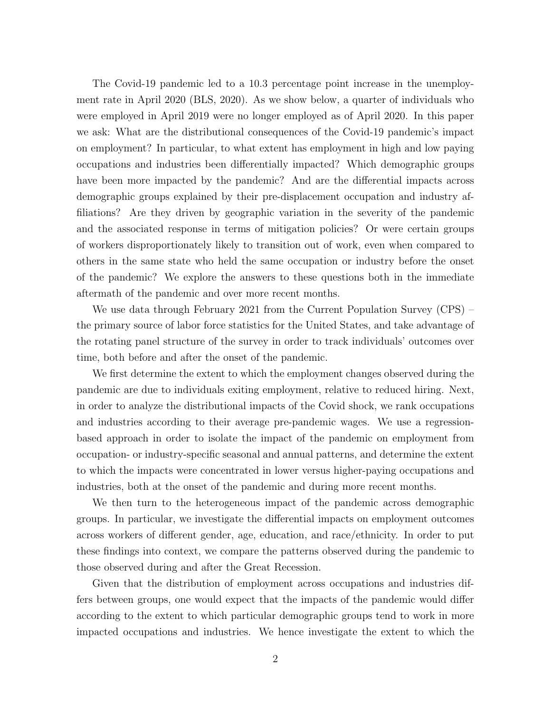The Covid-19 pandemic led to a 10.3 percentage point increase in the unemployment rate in April 2020 (BLS, 2020). As we show below, a quarter of individuals who were employed in April 2019 were no longer employed as of April 2020. In this paper we ask: What are the distributional consequences of the Covid-19 pandemic's impact on employment? In particular, to what extent has employment in high and low paying occupations and industries been differentially impacted? Which demographic groups have been more impacted by the pandemic? And are the differential impacts across demographic groups explained by their pre-displacement occupation and industry affiliations? Are they driven by geographic variation in the severity of the pandemic and the associated response in terms of mitigation policies? Or were certain groups of workers disproportionately likely to transition out of work, even when compared to others in the same state who held the same occupation or industry before the onset of the pandemic? We explore the answers to these questions both in the immediate aftermath of the pandemic and over more recent months.

We use data through February 2021 from the Current Population Survey (CPS) – the primary source of labor force statistics for the United States, and take advantage of the rotating panel structure of the survey in order to track individuals' outcomes over time, both before and after the onset of the pandemic.

We first determine the extent to which the employment changes observed during the pandemic are due to individuals exiting employment, relative to reduced hiring. Next, in order to analyze the distributional impacts of the Covid shock, we rank occupations and industries according to their average pre-pandemic wages. We use a regressionbased approach in order to isolate the impact of the pandemic on employment from occupation- or industry-specific seasonal and annual patterns, and determine the extent to which the impacts were concentrated in lower versus higher-paying occupations and industries, both at the onset of the pandemic and during more recent months.

We then turn to the heterogeneous impact of the pandemic across demographic groups. In particular, we investigate the differential impacts on employment outcomes across workers of different gender, age, education, and race/ethnicity. In order to put these findings into context, we compare the patterns observed during the pandemic to those observed during and after the Great Recession.

Given that the distribution of employment across occupations and industries differs between groups, one would expect that the impacts of the pandemic would differ according to the extent to which particular demographic groups tend to work in more impacted occupations and industries. We hence investigate the extent to which the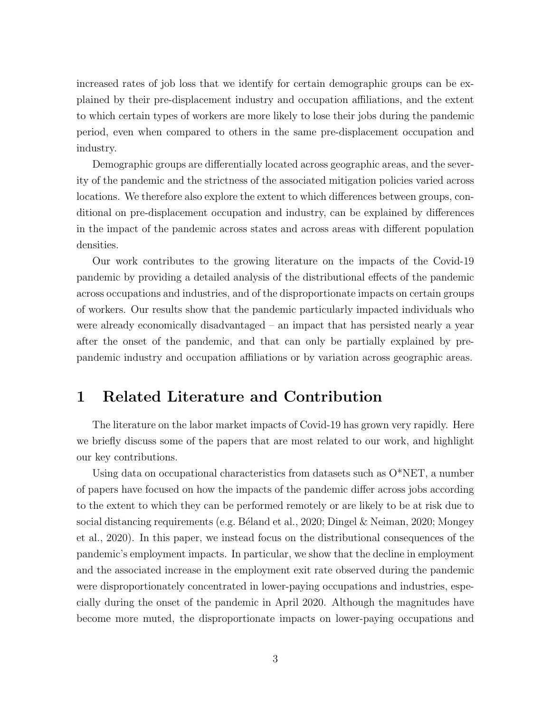increased rates of job loss that we identify for certain demographic groups can be explained by their pre-displacement industry and occupation affiliations, and the extent to which certain types of workers are more likely to lose their jobs during the pandemic period, even when compared to others in the same pre-displacement occupation and industry.

Demographic groups are differentially located across geographic areas, and the severity of the pandemic and the strictness of the associated mitigation policies varied across locations. We therefore also explore the extent to which differences between groups, conditional on pre-displacement occupation and industry, can be explained by differences in the impact of the pandemic across states and across areas with different population densities.

Our work contributes to the growing literature on the impacts of the Covid-19 pandemic by providing a detailed analysis of the distributional effects of the pandemic across occupations and industries, and of the disproportionate impacts on certain groups of workers. Our results show that the pandemic particularly impacted individuals who were already economically disadvantaged – an impact that has persisted nearly a year after the onset of the pandemic, and that can only be partially explained by prepandemic industry and occupation affiliations or by variation across geographic areas.

## 1 Related Literature and Contribution

The literature on the labor market impacts of Covid-19 has grown very rapidly. Here we briefly discuss some of the papers that are most related to our work, and highlight our key contributions.

Using data on occupational characteristics from datasets such as  $O^*NET$ , a number of papers have focused on how the impacts of the pandemic differ across jobs according to the extent to which they can be performed remotely or are likely to be at risk due to social distancing requirements (e.g. Béland et al., 2020; Dingel & Neiman, 2020; Mongey et al., 2020). In this paper, we instead focus on the distributional consequences of the pandemic's employment impacts. In particular, we show that the decline in employment and the associated increase in the employment exit rate observed during the pandemic were disproportionately concentrated in lower-paying occupations and industries, especially during the onset of the pandemic in April 2020. Although the magnitudes have become more muted, the disproportionate impacts on lower-paying occupations and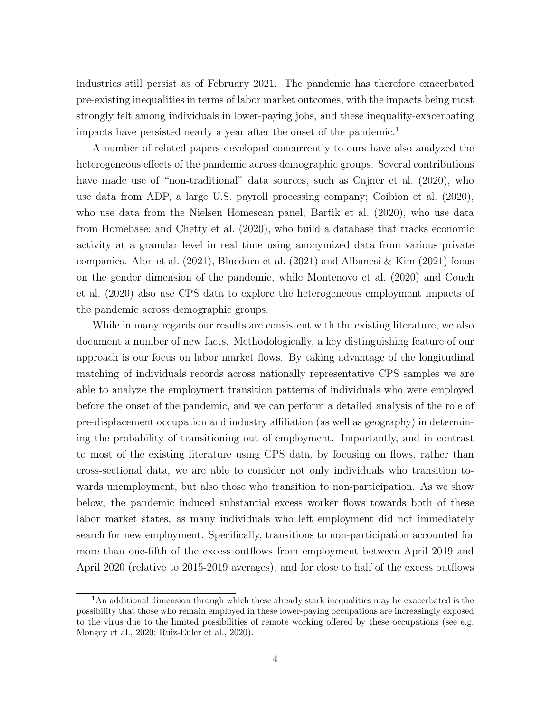industries still persist as of February 2021. The pandemic has therefore exacerbated pre-existing inequalities in terms of labor market outcomes, with the impacts being most strongly felt among individuals in lower-paying jobs, and these inequality-exacerbating impacts have persisted nearly a year after the onset of the pandemic.<sup>1</sup>

A number of related papers developed concurrently to ours have also analyzed the heterogeneous effects of the pandemic across demographic groups. Several contributions have made use of "non-traditional" data sources, such as Cajner et al. (2020), who use data from ADP, a large U.S. payroll processing company; Coibion et al. (2020), who use data from the Nielsen Homescan panel; Bartik et al. (2020), who use data from Homebase; and Chetty et al. (2020), who build a database that tracks economic activity at a granular level in real time using anonymized data from various private companies. Alon et al.  $(2021)$ , Bluedorn et al.  $(2021)$  and Albanesi & Kim  $(2021)$  focus on the gender dimension of the pandemic, while Montenovo et al. (2020) and Couch et al. (2020) also use CPS data to explore the heterogeneous employment impacts of the pandemic across demographic groups.

While in many regards our results are consistent with the existing literature, we also document a number of new facts. Methodologically, a key distinguishing feature of our approach is our focus on labor market flows. By taking advantage of the longitudinal matching of individuals records across nationally representative CPS samples we are able to analyze the employment transition patterns of individuals who were employed before the onset of the pandemic, and we can perform a detailed analysis of the role of pre-displacement occupation and industry affiliation (as well as geography) in determining the probability of transitioning out of employment. Importantly, and in contrast to most of the existing literature using CPS data, by focusing on flows, rather than cross-sectional data, we are able to consider not only individuals who transition towards unemployment, but also those who transition to non-participation. As we show below, the pandemic induced substantial excess worker flows towards both of these labor market states, as many individuals who left employment did not immediately search for new employment. Specifically, transitions to non-participation accounted for more than one-fifth of the excess outflows from employment between April 2019 and April 2020 (relative to 2015-2019 averages), and for close to half of the excess outflows

<sup>&</sup>lt;sup>1</sup>An additional dimension through which these already stark inequalities may be exacerbated is the possibility that those who remain employed in these lower-paying occupations are increasingly exposed to the virus due to the limited possibilities of remote working offered by these occupations (see e.g. Mongey et al., 2020; Ruiz-Euler et al., 2020).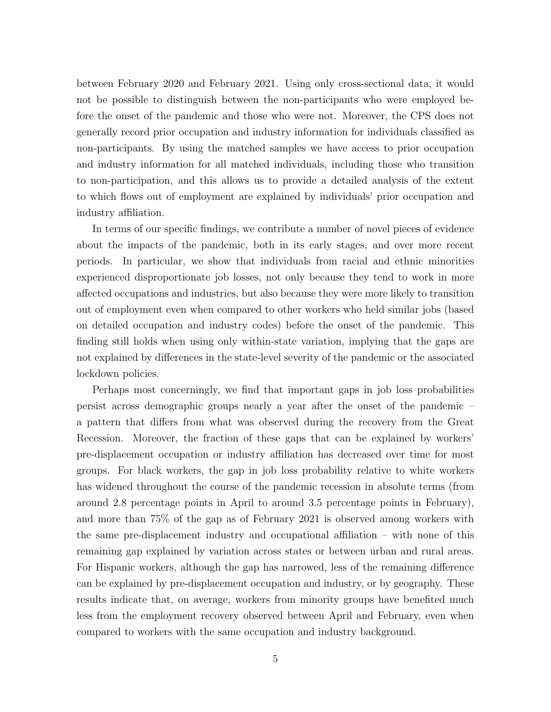between February 2020 and February 2021. Using only cross-sectional data, it would not be possible to distinguish between the non-participants who were employed before the onset of the pandemic and those who were not. Moreover, the CPS does not generally record prior occupation and industry information for individuals classified as non-participants. By using the matched samples we have access to prior occupation and industry information for all matched individuals, including those who transition to non-participation, and this allows us to provide a detailed analysis of the extent to which flows out of employment are explained by individuals' prior occupation and industry affiliation.

In terms of our specific findings, we contribute a number of novel pieces of evidence about the impacts of the pandemic, both in its early stages, and over more recent periods. In particular, we show that individuals from racial and ethnic minorities experienced disproportionate job losses, not only because they tend to work in more affected occupations and industries, but also because they were more likely to transition out of employment even when compared to other workers who held similar jobs (based on detailed occupation and industry codes) before the onset of the pandemic. This finding still holds when using only within-state variation, implying that the gaps are not explained by differences in the state-level severity of the pandemic or the associated lockdown policies.

Perhaps most concerningly, we find that important gaps in job loss probabilities persist across demographic groups nearly a year after the onset of the pandemic – a pattern that differs from what was observed during the recovery from the Great Recession. Moreover, the fraction of these gaps that can be explained by workers' pre-displacement occupation or industry affiliation has decreased over time for most groups. For black workers, the gap in job loss probability relative to white workers has widened throughout the course of the pandemic recession in absolute terms (from around 2.8 percentage points in April to around 3.5 percentage points in February), and more than 75% of the gap as of February 2021 is observed among workers with the same pre-displacement industry and occupational affiliation – with none of this remaining gap explained by variation across states or between urban and rural areas. For Hispanic workers, although the gap has narrowed, less of the remaining difference can be explained by pre-displacement occupation and industry, or by geography. These results indicate that, on average, workers from minority groups have benefited much less from the employment recovery observed between April and February, even when compared to workers with the same occupation and industry background.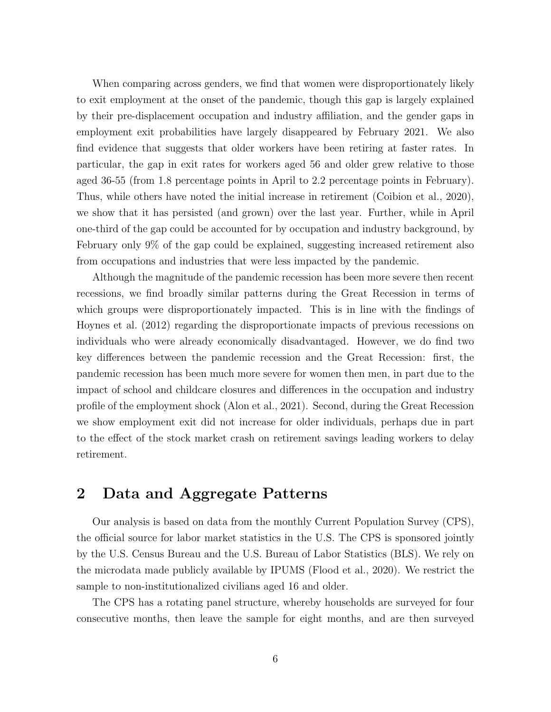When comparing across genders, we find that women were disproportionately likely to exit employment at the onset of the pandemic, though this gap is largely explained by their pre-displacement occupation and industry affiliation, and the gender gaps in employment exit probabilities have largely disappeared by February 2021. We also find evidence that suggests that older workers have been retiring at faster rates. In particular, the gap in exit rates for workers aged 56 and older grew relative to those aged 36-55 (from 1.8 percentage points in April to 2.2 percentage points in February). Thus, while others have noted the initial increase in retirement (Coibion et al., 2020), we show that it has persisted (and grown) over the last year. Further, while in April one-third of the gap could be accounted for by occupation and industry background, by February only 9% of the gap could be explained, suggesting increased retirement also from occupations and industries that were less impacted by the pandemic.

Although the magnitude of the pandemic recession has been more severe then recent recessions, we find broadly similar patterns during the Great Recession in terms of which groups were disproportionately impacted. This is in line with the findings of Hoynes et al. (2012) regarding the disproportionate impacts of previous recessions on individuals who were already economically disadvantaged. However, we do find two key differences between the pandemic recession and the Great Recession: first, the pandemic recession has been much more severe for women then men, in part due to the impact of school and childcare closures and differences in the occupation and industry profile of the employment shock (Alon et al., 2021). Second, during the Great Recession we show employment exit did not increase for older individuals, perhaps due in part to the effect of the stock market crash on retirement savings leading workers to delay retirement.

## 2 Data and Aggregate Patterns

Our analysis is based on data from the monthly Current Population Survey (CPS), the official source for labor market statistics in the U.S. The CPS is sponsored jointly by the U.S. Census Bureau and the U.S. Bureau of Labor Statistics (BLS). We rely on the microdata made publicly available by IPUMS (Flood et al., 2020). We restrict the sample to non-institutionalized civilians aged 16 and older.

The CPS has a rotating panel structure, whereby households are surveyed for four consecutive months, then leave the sample for eight months, and are then surveyed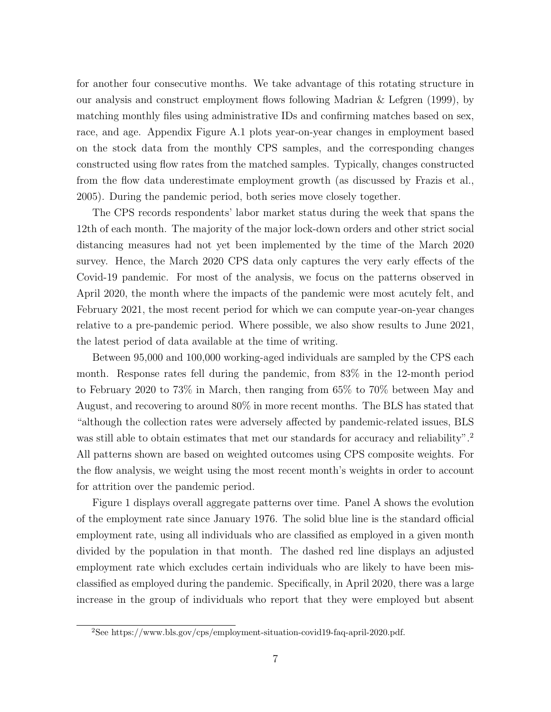for another four consecutive months. We take advantage of this rotating structure in our analysis and construct employment flows following Madrian & Lefgren (1999), by matching monthly files using administrative IDs and confirming matches based on sex, race, and age. Appendix Figure A.1 plots year-on-year changes in employment based on the stock data from the monthly CPS samples, and the corresponding changes constructed using flow rates from the matched samples. Typically, changes constructed from the flow data underestimate employment growth (as discussed by Frazis et al., 2005). During the pandemic period, both series move closely together.

The CPS records respondents' labor market status during the week that spans the 12th of each month. The majority of the major lock-down orders and other strict social distancing measures had not yet been implemented by the time of the March 2020 survey. Hence, the March 2020 CPS data only captures the very early effects of the Covid-19 pandemic. For most of the analysis, we focus on the patterns observed in April 2020, the month where the impacts of the pandemic were most acutely felt, and February 2021, the most recent period for which we can compute year-on-year changes relative to a pre-pandemic period. Where possible, we also show results to June 2021, the latest period of data available at the time of writing.

Between 95,000 and 100,000 working-aged individuals are sampled by the CPS each month. Response rates fell during the pandemic, from 83% in the 12-month period to February 2020 to 73% in March, then ranging from 65% to 70% between May and August, and recovering to around 80% in more recent months. The BLS has stated that "although the collection rates were adversely affected by pandemic-related issues, BLS was still able to obtain estimates that met our standards for accuracy and reliability".<sup>2</sup> All patterns shown are based on weighted outcomes using CPS composite weights. For the flow analysis, we weight using the most recent month's weights in order to account for attrition over the pandemic period.

Figure 1 displays overall aggregate patterns over time. Panel A shows the evolution of the employment rate since January 1976. The solid blue line is the standard official employment rate, using all individuals who are classified as employed in a given month divided by the population in that month. The dashed red line displays an adjusted employment rate which excludes certain individuals who are likely to have been misclassified as employed during the pandemic. Specifically, in April 2020, there was a large increase in the group of individuals who report that they were employed but absent

<sup>2</sup>See https://www.bls.gov/cps/employment-situation-covid19-faq-april-2020.pdf.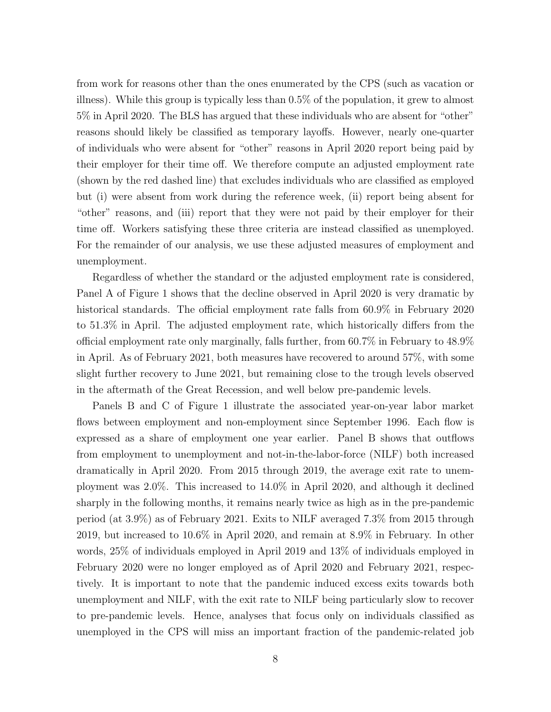from work for reasons other than the ones enumerated by the CPS (such as vacation or illness). While this group is typically less than 0.5% of the population, it grew to almost 5% in April 2020. The BLS has argued that these individuals who are absent for "other" reasons should likely be classified as temporary layoffs. However, nearly one-quarter of individuals who were absent for "other" reasons in April 2020 report being paid by their employer for their time off. We therefore compute an adjusted employment rate (shown by the red dashed line) that excludes individuals who are classified as employed but (i) were absent from work during the reference week, (ii) report being absent for "other" reasons, and (iii) report that they were not paid by their employer for their time off. Workers satisfying these three criteria are instead classified as unemployed. For the remainder of our analysis, we use these adjusted measures of employment and unemployment.

Regardless of whether the standard or the adjusted employment rate is considered, Panel A of Figure 1 shows that the decline observed in April 2020 is very dramatic by historical standards. The official employment rate falls from 60.9% in February 2020 to 51.3% in April. The adjusted employment rate, which historically differs from the official employment rate only marginally, falls further, from 60.7% in February to 48.9% in April. As of February 2021, both measures have recovered to around 57%, with some slight further recovery to June 2021, but remaining close to the trough levels observed in the aftermath of the Great Recession, and well below pre-pandemic levels.

Panels B and C of Figure 1 illustrate the associated year-on-year labor market flows between employment and non-employment since September 1996. Each flow is expressed as a share of employment one year earlier. Panel B shows that outflows from employment to unemployment and not-in-the-labor-force (NILF) both increased dramatically in April 2020. From 2015 through 2019, the average exit rate to unemployment was 2.0%. This increased to 14.0% in April 2020, and although it declined sharply in the following months, it remains nearly twice as high as in the pre-pandemic period (at 3.9%) as of February 2021. Exits to NILF averaged 7.3% from 2015 through 2019, but increased to 10.6% in April 2020, and remain at 8.9% in February. In other words, 25% of individuals employed in April 2019 and 13% of individuals employed in February 2020 were no longer employed as of April 2020 and February 2021, respectively. It is important to note that the pandemic induced excess exits towards both unemployment and NILF, with the exit rate to NILF being particularly slow to recover to pre-pandemic levels. Hence, analyses that focus only on individuals classified as unemployed in the CPS will miss an important fraction of the pandemic-related job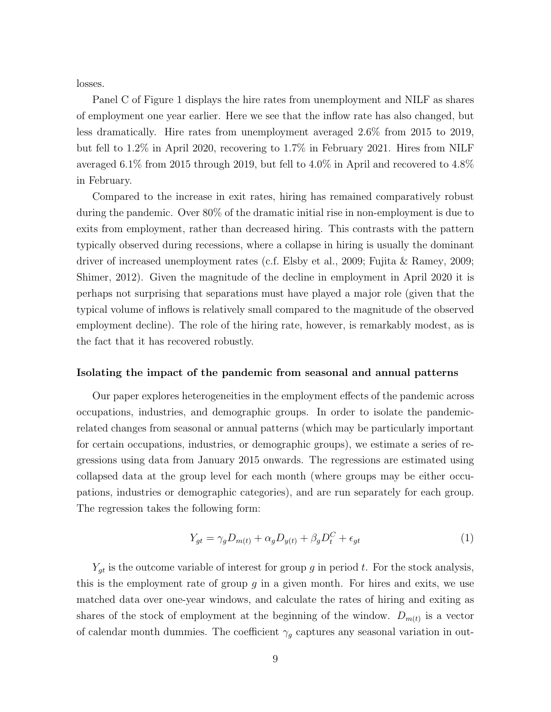losses.

Panel C of Figure 1 displays the hire rates from unemployment and NILF as shares of employment one year earlier. Here we see that the inflow rate has also changed, but less dramatically. Hire rates from unemployment averaged 2.6% from 2015 to 2019, but fell to 1.2% in April 2020, recovering to 1.7% in February 2021. Hires from NILF averaged 6.1% from 2015 through 2019, but fell to 4.0% in April and recovered to 4.8% in February.

Compared to the increase in exit rates, hiring has remained comparatively robust during the pandemic. Over 80% of the dramatic initial rise in non-employment is due to exits from employment, rather than decreased hiring. This contrasts with the pattern typically observed during recessions, where a collapse in hiring is usually the dominant driver of increased unemployment rates (c.f. Elsby et al., 2009; Fujita & Ramey, 2009; Shimer, 2012). Given the magnitude of the decline in employment in April 2020 it is perhaps not surprising that separations must have played a major role (given that the typical volume of inflows is relatively small compared to the magnitude of the observed employment decline). The role of the hiring rate, however, is remarkably modest, as is the fact that it has recovered robustly.

#### Isolating the impact of the pandemic from seasonal and annual patterns

Our paper explores heterogeneities in the employment effects of the pandemic across occupations, industries, and demographic groups. In order to isolate the pandemicrelated changes from seasonal or annual patterns (which may be particularly important for certain occupations, industries, or demographic groups), we estimate a series of regressions using data from January 2015 onwards. The regressions are estimated using collapsed data at the group level for each month (where groups may be either occupations, industries or demographic categories), and are run separately for each group. The regression takes the following form:

$$
Y_{gt} = \gamma_g D_{m(t)} + \alpha_g D_{y(t)} + \beta_g D_t^C + \epsilon_{gt} \tag{1}
$$

 $Y_{gt}$  is the outcome variable of interest for group g in period t. For the stock analysis, this is the employment rate of group  $q$  in a given month. For hires and exits, we use matched data over one-year windows, and calculate the rates of hiring and exiting as shares of the stock of employment at the beginning of the window.  $D_{m(t)}$  is a vector of calendar month dummies. The coefficient  $\gamma_q$  captures any seasonal variation in out-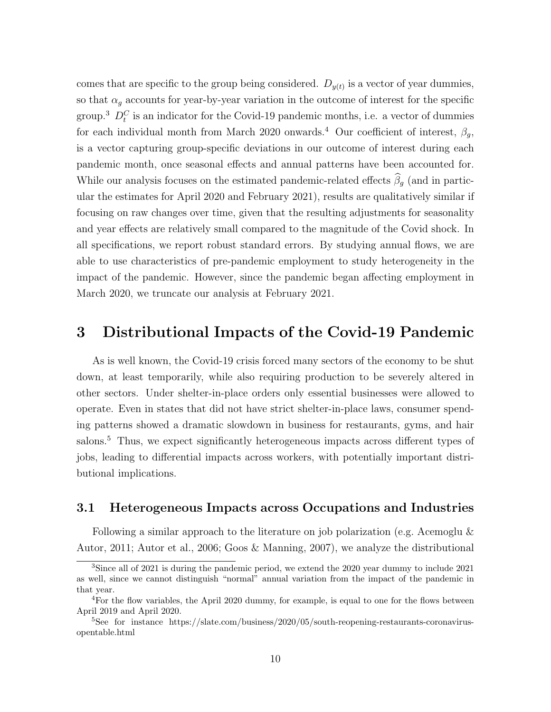comes that are specific to the group being considered.  $D_{y(t)}$  is a vector of year dummies, so that  $\alpha_g$  accounts for year-by-year variation in the outcome of interest for the specific group.<sup>3</sup>  $D_t^C$  is an indicator for the Covid-19 pandemic months, i.e. a vector of dummies for each individual month from March 2020 onwards.<sup>4</sup> Our coefficient of interest,  $\beta_q$ , is a vector capturing group-specific deviations in our outcome of interest during each pandemic month, once seasonal effects and annual patterns have been accounted for. While our analysis focuses on the estimated pandemic-related effects  $\widehat{\beta}_g$  (and in particular the estimates for April 2020 and February 2021), results are qualitatively similar if focusing on raw changes over time, given that the resulting adjustments for seasonality and year effects are relatively small compared to the magnitude of the Covid shock. In all specifications, we report robust standard errors. By studying annual flows, we are able to use characteristics of pre-pandemic employment to study heterogeneity in the impact of the pandemic. However, since the pandemic began affecting employment in March 2020, we truncate our analysis at February 2021.

## 3 Distributional Impacts of the Covid-19 Pandemic

As is well known, the Covid-19 crisis forced many sectors of the economy to be shut down, at least temporarily, while also requiring production to be severely altered in other sectors. Under shelter-in-place orders only essential businesses were allowed to operate. Even in states that did not have strict shelter-in-place laws, consumer spending patterns showed a dramatic slowdown in business for restaurants, gyms, and hair salons.<sup>5</sup> Thus, we expect significantly heterogeneous impacts across different types of jobs, leading to differential impacts across workers, with potentially important distributional implications.

#### 3.1 Heterogeneous Impacts across Occupations and Industries

Following a similar approach to the literature on job polarization (e.g. Acemoglu & Autor, 2011; Autor et al., 2006; Goos & Manning, 2007), we analyze the distributional

<sup>&</sup>lt;sup>3</sup>Since all of 2021 is during the pandemic period, we extend the 2020 year dummy to include 2021 as well, since we cannot distinguish "normal" annual variation from the impact of the pandemic in that year.

<sup>4</sup>For the flow variables, the April 2020 dummy, for example, is equal to one for the flows between April 2019 and April 2020.

 $5$ See for instance https://slate.com/business/2020/05/south-reopening-restaurants-coronavirusopentable.html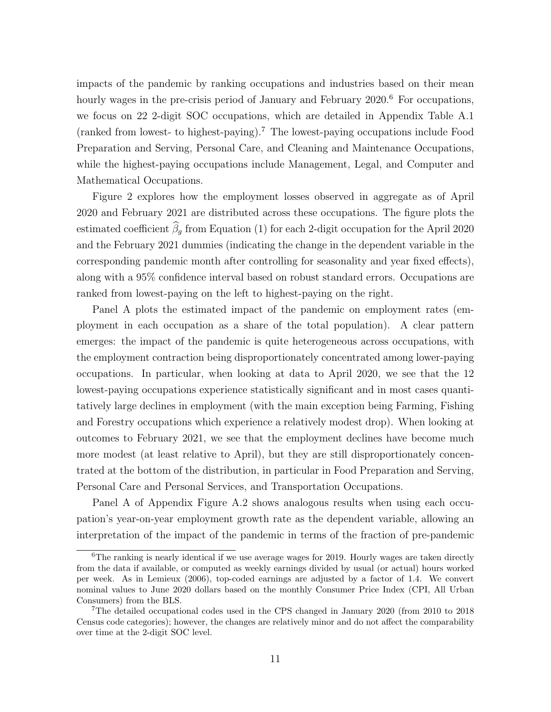impacts of the pandemic by ranking occupations and industries based on their mean hourly wages in the pre-crisis period of January and February 2020.<sup>6</sup> For occupations, we focus on 22 2-digit SOC occupations, which are detailed in Appendix Table A.1 (ranked from lowest- to highest-paying).<sup>7</sup> The lowest-paying occupations include Food Preparation and Serving, Personal Care, and Cleaning and Maintenance Occupations, while the highest-paying occupations include Management, Legal, and Computer and Mathematical Occupations.

Figure 2 explores how the employment losses observed in aggregate as of April 2020 and February 2021 are distributed across these occupations. The figure plots the estimated coefficient  $\widehat{\beta}_g$  from Equation (1) for each 2-digit occupation for the April 2020 and the February 2021 dummies (indicating the change in the dependent variable in the corresponding pandemic month after controlling for seasonality and year fixed effects), along with a 95% confidence interval based on robust standard errors. Occupations are ranked from lowest-paying on the left to highest-paying on the right.

Panel A plots the estimated impact of the pandemic on employment rates (employment in each occupation as a share of the total population). A clear pattern emerges: the impact of the pandemic is quite heterogeneous across occupations, with the employment contraction being disproportionately concentrated among lower-paying occupations. In particular, when looking at data to April 2020, we see that the 12 lowest-paying occupations experience statistically significant and in most cases quantitatively large declines in employment (with the main exception being Farming, Fishing and Forestry occupations which experience a relatively modest drop). When looking at outcomes to February 2021, we see that the employment declines have become much more modest (at least relative to April), but they are still disproportionately concentrated at the bottom of the distribution, in particular in Food Preparation and Serving, Personal Care and Personal Services, and Transportation Occupations.

Panel A of Appendix Figure A.2 shows analogous results when using each occupation's year-on-year employment growth rate as the dependent variable, allowing an interpretation of the impact of the pandemic in terms of the fraction of pre-pandemic

 $6$ The ranking is nearly identical if we use average wages for 2019. Hourly wages are taken directly from the data if available, or computed as weekly earnings divided by usual (or actual) hours worked per week. As in Lemieux (2006), top-coded earnings are adjusted by a factor of 1.4. We convert nominal values to June 2020 dollars based on the monthly Consumer Price Index (CPI, All Urban Consumers) from the BLS.

<sup>7</sup>The detailed occupational codes used in the CPS changed in January 2020 (from 2010 to 2018 Census code categories); however, the changes are relatively minor and do not affect the comparability over time at the 2-digit SOC level.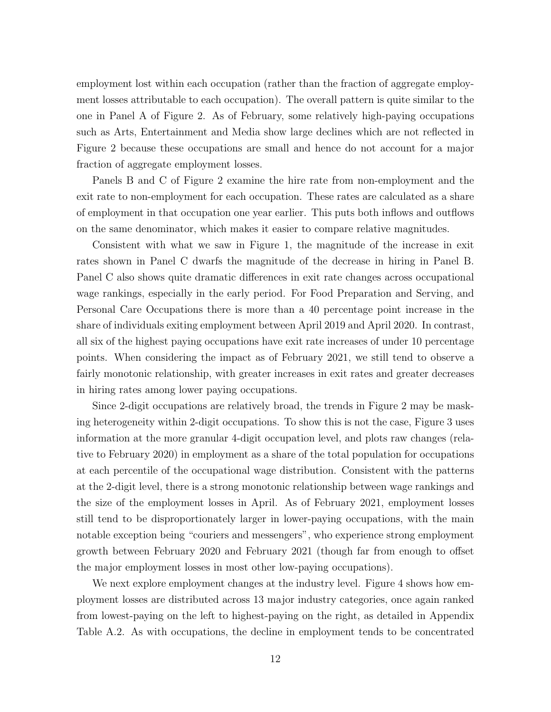employment lost within each occupation (rather than the fraction of aggregate employment losses attributable to each occupation). The overall pattern is quite similar to the one in Panel A of Figure 2. As of February, some relatively high-paying occupations such as Arts, Entertainment and Media show large declines which are not reflected in Figure 2 because these occupations are small and hence do not account for a major fraction of aggregate employment losses.

Panels B and C of Figure 2 examine the hire rate from non-employment and the exit rate to non-employment for each occupation. These rates are calculated as a share of employment in that occupation one year earlier. This puts both inflows and outflows on the same denominator, which makes it easier to compare relative magnitudes.

Consistent with what we saw in Figure 1, the magnitude of the increase in exit rates shown in Panel C dwarfs the magnitude of the decrease in hiring in Panel B. Panel C also shows quite dramatic differences in exit rate changes across occupational wage rankings, especially in the early period. For Food Preparation and Serving, and Personal Care Occupations there is more than a 40 percentage point increase in the share of individuals exiting employment between April 2019 and April 2020. In contrast, all six of the highest paying occupations have exit rate increases of under 10 percentage points. When considering the impact as of February 2021, we still tend to observe a fairly monotonic relationship, with greater increases in exit rates and greater decreases in hiring rates among lower paying occupations.

Since 2-digit occupations are relatively broad, the trends in Figure 2 may be masking heterogeneity within 2-digit occupations. To show this is not the case, Figure 3 uses information at the more granular 4-digit occupation level, and plots raw changes (relative to February 2020) in employment as a share of the total population for occupations at each percentile of the occupational wage distribution. Consistent with the patterns at the 2-digit level, there is a strong monotonic relationship between wage rankings and the size of the employment losses in April. As of February 2021, employment losses still tend to be disproportionately larger in lower-paying occupations, with the main notable exception being "couriers and messengers", who experience strong employment growth between February 2020 and February 2021 (though far from enough to offset the major employment losses in most other low-paying occupations).

We next explore employment changes at the industry level. Figure 4 shows how employment losses are distributed across 13 major industry categories, once again ranked from lowest-paying on the left to highest-paying on the right, as detailed in Appendix Table A.2. As with occupations, the decline in employment tends to be concentrated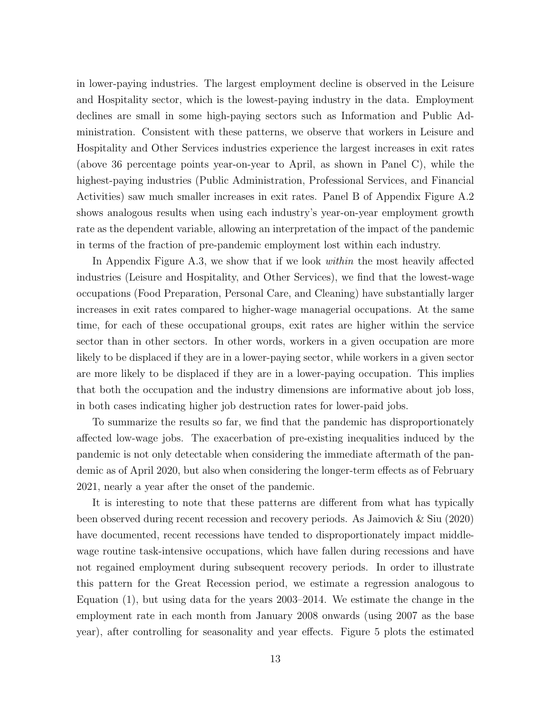in lower-paying industries. The largest employment decline is observed in the Leisure and Hospitality sector, which is the lowest-paying industry in the data. Employment declines are small in some high-paying sectors such as Information and Public Administration. Consistent with these patterns, we observe that workers in Leisure and Hospitality and Other Services industries experience the largest increases in exit rates (above 36 percentage points year-on-year to April, as shown in Panel C), while the highest-paying industries (Public Administration, Professional Services, and Financial Activities) saw much smaller increases in exit rates. Panel B of Appendix Figure A.2 shows analogous results when using each industry's year-on-year employment growth rate as the dependent variable, allowing an interpretation of the impact of the pandemic in terms of the fraction of pre-pandemic employment lost within each industry.

In Appendix Figure A.3, we show that if we look within the most heavily affected industries (Leisure and Hospitality, and Other Services), we find that the lowest-wage occupations (Food Preparation, Personal Care, and Cleaning) have substantially larger increases in exit rates compared to higher-wage managerial occupations. At the same time, for each of these occupational groups, exit rates are higher within the service sector than in other sectors. In other words, workers in a given occupation are more likely to be displaced if they are in a lower-paying sector, while workers in a given sector are more likely to be displaced if they are in a lower-paying occupation. This implies that both the occupation and the industry dimensions are informative about job loss, in both cases indicating higher job destruction rates for lower-paid jobs.

To summarize the results so far, we find that the pandemic has disproportionately affected low-wage jobs. The exacerbation of pre-existing inequalities induced by the pandemic is not only detectable when considering the immediate aftermath of the pandemic as of April 2020, but also when considering the longer-term effects as of February 2021, nearly a year after the onset of the pandemic.

It is interesting to note that these patterns are different from what has typically been observed during recent recession and recovery periods. As Jaimovich & Siu (2020) have documented, recent recessions have tended to disproportionately impact middlewage routine task-intensive occupations, which have fallen during recessions and have not regained employment during subsequent recovery periods. In order to illustrate this pattern for the Great Recession period, we estimate a regression analogous to Equation (1), but using data for the years 2003–2014. We estimate the change in the employment rate in each month from January 2008 onwards (using 2007 as the base year), after controlling for seasonality and year effects. Figure 5 plots the estimated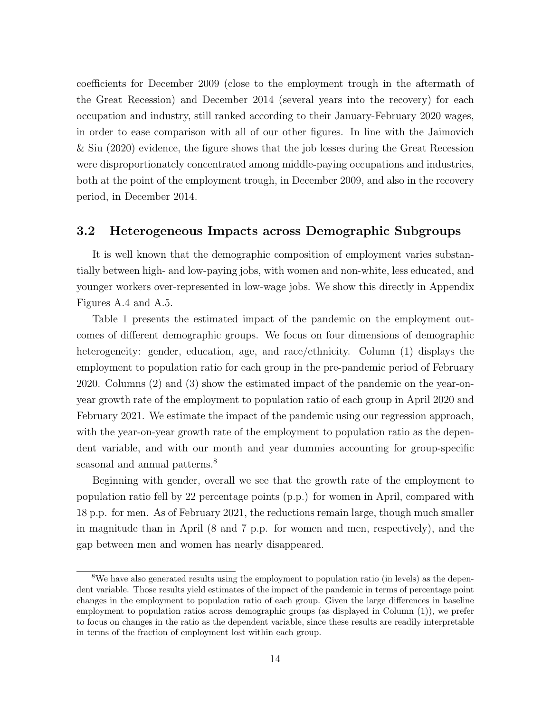coefficients for December 2009 (close to the employment trough in the aftermath of the Great Recession) and December 2014 (several years into the recovery) for each occupation and industry, still ranked according to their January-February 2020 wages, in order to ease comparison with all of our other figures. In line with the Jaimovich & Siu (2020) evidence, the figure shows that the job losses during the Great Recession were disproportionately concentrated among middle-paying occupations and industries, both at the point of the employment trough, in December 2009, and also in the recovery period, in December 2014.

### 3.2 Heterogeneous Impacts across Demographic Subgroups

It is well known that the demographic composition of employment varies substantially between high- and low-paying jobs, with women and non-white, less educated, and younger workers over-represented in low-wage jobs. We show this directly in Appendix Figures A.4 and A.5.

Table 1 presents the estimated impact of the pandemic on the employment outcomes of different demographic groups. We focus on four dimensions of demographic heterogeneity: gender, education, age, and race/ethnicity. Column (1) displays the employment to population ratio for each group in the pre-pandemic period of February 2020. Columns (2) and (3) show the estimated impact of the pandemic on the year-onyear growth rate of the employment to population ratio of each group in April 2020 and February 2021. We estimate the impact of the pandemic using our regression approach, with the year-on-year growth rate of the employment to population ratio as the dependent variable, and with our month and year dummies accounting for group-specific seasonal and annual patterns.<sup>8</sup>

Beginning with gender, overall we see that the growth rate of the employment to population ratio fell by 22 percentage points (p.p.) for women in April, compared with 18 p.p. for men. As of February 2021, the reductions remain large, though much smaller in magnitude than in April (8 and 7 p.p. for women and men, respectively), and the gap between men and women has nearly disappeared.

<sup>&</sup>lt;sup>8</sup>We have also generated results using the employment to population ratio (in levels) as the dependent variable. Those results yield estimates of the impact of the pandemic in terms of percentage point changes in the employment to population ratio of each group. Given the large differences in baseline employment to population ratios across demographic groups (as displayed in Column (1)), we prefer to focus on changes in the ratio as the dependent variable, since these results are readily interpretable in terms of the fraction of employment lost within each group.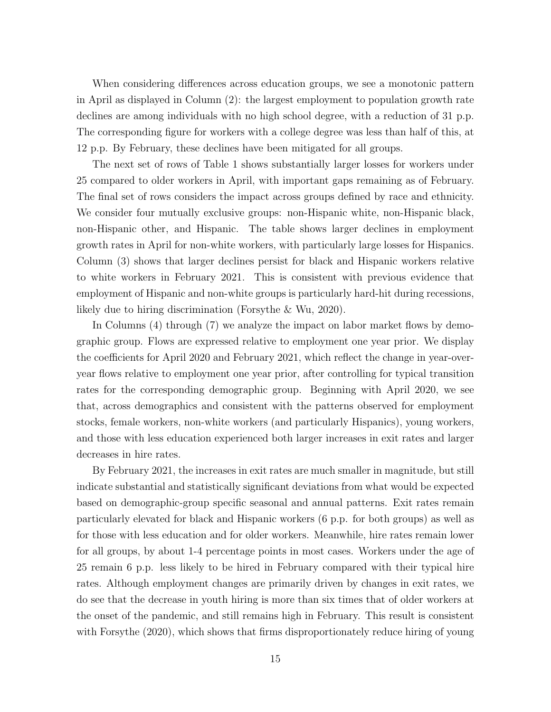When considering differences across education groups, we see a monotonic pattern in April as displayed in Column (2): the largest employment to population growth rate declines are among individuals with no high school degree, with a reduction of 31 p.p. The corresponding figure for workers with a college degree was less than half of this, at 12 p.p. By February, these declines have been mitigated for all groups.

The next set of rows of Table 1 shows substantially larger losses for workers under 25 compared to older workers in April, with important gaps remaining as of February. The final set of rows considers the impact across groups defined by race and ethnicity. We consider four mutually exclusive groups: non-Hispanic white, non-Hispanic black, non-Hispanic other, and Hispanic. The table shows larger declines in employment growth rates in April for non-white workers, with particularly large losses for Hispanics. Column (3) shows that larger declines persist for black and Hispanic workers relative to white workers in February 2021. This is consistent with previous evidence that employment of Hispanic and non-white groups is particularly hard-hit during recessions, likely due to hiring discrimination (Forsythe & Wu, 2020).

In Columns (4) through (7) we analyze the impact on labor market flows by demographic group. Flows are expressed relative to employment one year prior. We display the coefficients for April 2020 and February 2021, which reflect the change in year-overyear flows relative to employment one year prior, after controlling for typical transition rates for the corresponding demographic group. Beginning with April 2020, we see that, across demographics and consistent with the patterns observed for employment stocks, female workers, non-white workers (and particularly Hispanics), young workers, and those with less education experienced both larger increases in exit rates and larger decreases in hire rates.

By February 2021, the increases in exit rates are much smaller in magnitude, but still indicate substantial and statistically significant deviations from what would be expected based on demographic-group specific seasonal and annual patterns. Exit rates remain particularly elevated for black and Hispanic workers (6 p.p. for both groups) as well as for those with less education and for older workers. Meanwhile, hire rates remain lower for all groups, by about 1-4 percentage points in most cases. Workers under the age of 25 remain 6 p.p. less likely to be hired in February compared with their typical hire rates. Although employment changes are primarily driven by changes in exit rates, we do see that the decrease in youth hiring is more than six times that of older workers at the onset of the pandemic, and still remains high in February. This result is consistent with Forsythe (2020), which shows that firms disproportionately reduce hiring of young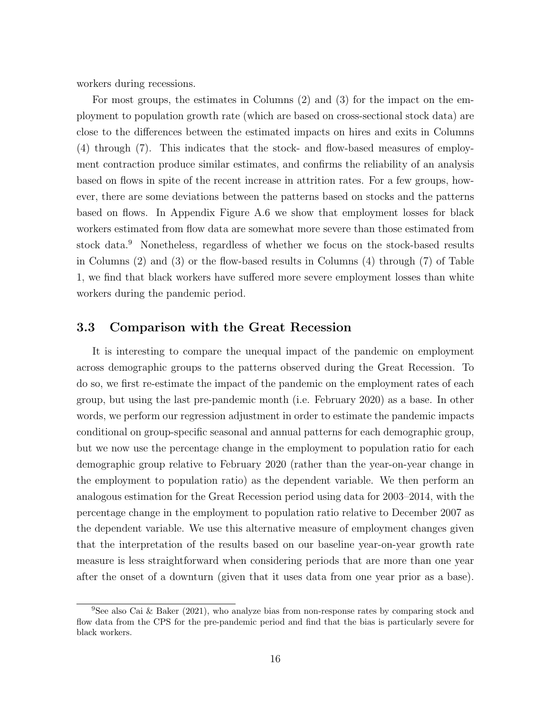workers during recessions.

For most groups, the estimates in Columns (2) and (3) for the impact on the employment to population growth rate (which are based on cross-sectional stock data) are close to the differences between the estimated impacts on hires and exits in Columns (4) through (7). This indicates that the stock- and flow-based measures of employment contraction produce similar estimates, and confirms the reliability of an analysis based on flows in spite of the recent increase in attrition rates. For a few groups, however, there are some deviations between the patterns based on stocks and the patterns based on flows. In Appendix Figure A.6 we show that employment losses for black workers estimated from flow data are somewhat more severe than those estimated from stock data.<sup>9</sup> Nonetheless, regardless of whether we focus on the stock-based results in Columns (2) and (3) or the flow-based results in Columns (4) through (7) of Table 1, we find that black workers have suffered more severe employment losses than white workers during the pandemic period.

## 3.3 Comparison with the Great Recession

It is interesting to compare the unequal impact of the pandemic on employment across demographic groups to the patterns observed during the Great Recession. To do so, we first re-estimate the impact of the pandemic on the employment rates of each group, but using the last pre-pandemic month (i.e. February 2020) as a base. In other words, we perform our regression adjustment in order to estimate the pandemic impacts conditional on group-specific seasonal and annual patterns for each demographic group, but we now use the percentage change in the employment to population ratio for each demographic group relative to February 2020 (rather than the year-on-year change in the employment to population ratio) as the dependent variable. We then perform an analogous estimation for the Great Recession period using data for 2003–2014, with the percentage change in the employment to population ratio relative to December 2007 as the dependent variable. We use this alternative measure of employment changes given that the interpretation of the results based on our baseline year-on-year growth rate measure is less straightforward when considering periods that are more than one year after the onset of a downturn (given that it uses data from one year prior as a base).

<sup>&</sup>lt;sup>9</sup>See also Cai & Baker (2021), who analyze bias from non-response rates by comparing stock and flow data from the CPS for the pre-pandemic period and find that the bias is particularly severe for black workers.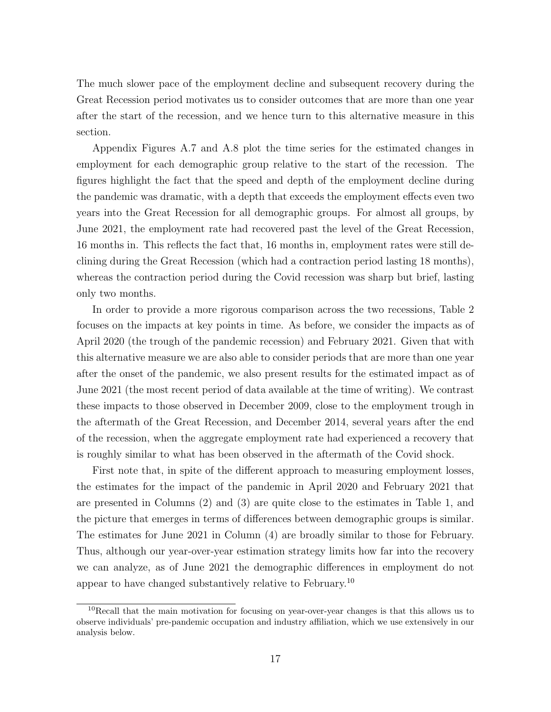The much slower pace of the employment decline and subsequent recovery during the Great Recession period motivates us to consider outcomes that are more than one year after the start of the recession, and we hence turn to this alternative measure in this section.

Appendix Figures A.7 and A.8 plot the time series for the estimated changes in employment for each demographic group relative to the start of the recession. The figures highlight the fact that the speed and depth of the employment decline during the pandemic was dramatic, with a depth that exceeds the employment effects even two years into the Great Recession for all demographic groups. For almost all groups, by June 2021, the employment rate had recovered past the level of the Great Recession, 16 months in. This reflects the fact that, 16 months in, employment rates were still declining during the Great Recession (which had a contraction period lasting 18 months), whereas the contraction period during the Covid recession was sharp but brief, lasting only two months.

In order to provide a more rigorous comparison across the two recessions, Table 2 focuses on the impacts at key points in time. As before, we consider the impacts as of April 2020 (the trough of the pandemic recession) and February 2021. Given that with this alternative measure we are also able to consider periods that are more than one year after the onset of the pandemic, we also present results for the estimated impact as of June 2021 (the most recent period of data available at the time of writing). We contrast these impacts to those observed in December 2009, close to the employment trough in the aftermath of the Great Recession, and December 2014, several years after the end of the recession, when the aggregate employment rate had experienced a recovery that is roughly similar to what has been observed in the aftermath of the Covid shock.

First note that, in spite of the different approach to measuring employment losses, the estimates for the impact of the pandemic in April 2020 and February 2021 that are presented in Columns (2) and (3) are quite close to the estimates in Table 1, and the picture that emerges in terms of differences between demographic groups is similar. The estimates for June 2021 in Column (4) are broadly similar to those for February. Thus, although our year-over-year estimation strategy limits how far into the recovery we can analyze, as of June 2021 the demographic differences in employment do not appear to have changed substantively relative to February.<sup>10</sup>

<sup>&</sup>lt;sup>10</sup>Recall that the main motivation for focusing on year-over-year changes is that this allows us to observe individuals' pre-pandemic occupation and industry affiliation, which we use extensively in our analysis below.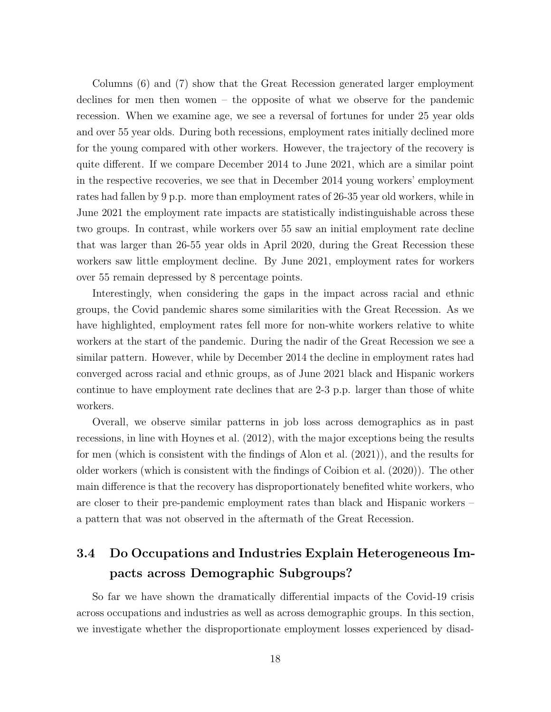Columns (6) and (7) show that the Great Recession generated larger employment declines for men then women – the opposite of what we observe for the pandemic recession. When we examine age, we see a reversal of fortunes for under 25 year olds and over 55 year olds. During both recessions, employment rates initially declined more for the young compared with other workers. However, the trajectory of the recovery is quite different. If we compare December 2014 to June 2021, which are a similar point in the respective recoveries, we see that in December 2014 young workers' employment rates had fallen by 9 p.p. more than employment rates of 26-35 year old workers, while in June 2021 the employment rate impacts are statistically indistinguishable across these two groups. In contrast, while workers over 55 saw an initial employment rate decline that was larger than 26-55 year olds in April 2020, during the Great Recession these workers saw little employment decline. By June 2021, employment rates for workers over 55 remain depressed by 8 percentage points.

Interestingly, when considering the gaps in the impact across racial and ethnic groups, the Covid pandemic shares some similarities with the Great Recession. As we have highlighted, employment rates fell more for non-white workers relative to white workers at the start of the pandemic. During the nadir of the Great Recession we see a similar pattern. However, while by December 2014 the decline in employment rates had converged across racial and ethnic groups, as of June 2021 black and Hispanic workers continue to have employment rate declines that are 2-3 p.p. larger than those of white workers.

Overall, we observe similar patterns in job loss across demographics as in past recessions, in line with Hoynes et al. (2012), with the major exceptions being the results for men (which is consistent with the findings of Alon et al. (2021)), and the results for older workers (which is consistent with the findings of Coibion et al. (2020)). The other main difference is that the recovery has disproportionately benefited white workers, who are closer to their pre-pandemic employment rates than black and Hispanic workers – a pattern that was not observed in the aftermath of the Great Recession.

## 3.4 Do Occupations and Industries Explain Heterogeneous Impacts across Demographic Subgroups?

So far we have shown the dramatically differential impacts of the Covid-19 crisis across occupations and industries as well as across demographic groups. In this section, we investigate whether the disproportionate employment losses experienced by disad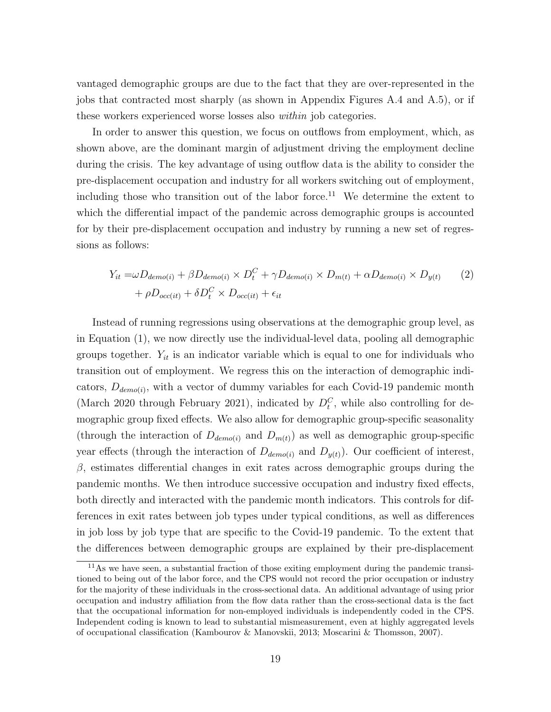vantaged demographic groups are due to the fact that they are over-represented in the jobs that contracted most sharply (as shown in Appendix Figures A.4 and A.5), or if these workers experienced worse losses also within job categories.

In order to answer this question, we focus on outflows from employment, which, as shown above, are the dominant margin of adjustment driving the employment decline during the crisis. The key advantage of using outflow data is the ability to consider the pre-displacement occupation and industry for all workers switching out of employment, including those who transition out of the labor force.<sup>11</sup> We determine the extent to which the differential impact of the pandemic across demographic groups is accounted for by their pre-displacement occupation and industry by running a new set of regressions as follows:

$$
Y_{it} = \omega D_{demo(i)} + \beta D_{demo(i)} \times D_t^C + \gamma D_{demo(i)} \times D_{m(t)} + \alpha D_{demo(i)} \times D_{y(t)} \qquad (2)
$$

$$
+ \rho D_{occ(it)} + \delta D_t^C \times D_{occ(it)} + \epsilon_{it}
$$

Instead of running regressions using observations at the demographic group level, as in Equation (1), we now directly use the individual-level data, pooling all demographic groups together.  $Y_{it}$  is an indicator variable which is equal to one for individuals who transition out of employment. We regress this on the interaction of demographic indicators,  $D_{demo(i)}$ , with a vector of dummy variables for each Covid-19 pandemic month (March 2020 through February 2021), indicated by  $D_t^C$ , while also controlling for demographic group fixed effects. We also allow for demographic group-specific seasonality (through the interaction of  $D_{demol(i)}$  and  $D_{m(t)}$ ) as well as demographic group-specific year effects (through the interaction of  $D_{demo(i)}$  and  $D_{y(t)}$ ). Our coefficient of interest,  $\beta$ , estimates differential changes in exit rates across demographic groups during the pandemic months. We then introduce successive occupation and industry fixed effects, both directly and interacted with the pandemic month indicators. This controls for differences in exit rates between job types under typical conditions, as well as differences in job loss by job type that are specific to the Covid-19 pandemic. To the extent that the differences between demographic groups are explained by their pre-displacement

<sup>&</sup>lt;sup>11</sup>As we have seen, a substantial fraction of those exiting employment during the pandemic transitioned to being out of the labor force, and the CPS would not record the prior occupation or industry for the majority of these individuals in the cross-sectional data. An additional advantage of using prior occupation and industry affiliation from the flow data rather than the cross-sectional data is the fact that the occupational information for non-employed individuals is independently coded in the CPS. Independent coding is known to lead to substantial mismeasurement, even at highly aggregated levels of occupational classification (Kambourov & Manovskii, 2013; Moscarini & Thomsson, 2007).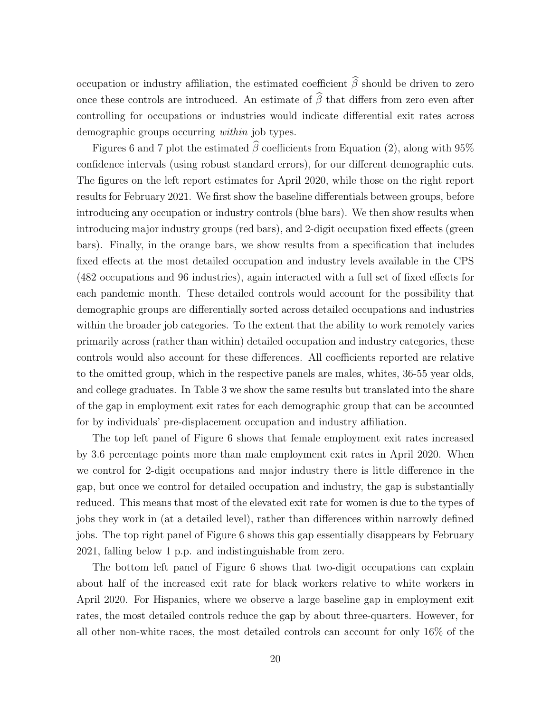occupation or industry affiliation, the estimated coefficient  $\widehat{\beta}$  should be driven to zero once these controls are introduced. An estimate of  $\widehat{\beta}$  that differs from zero even after controlling for occupations or industries would indicate differential exit rates across demographic groups occurring within job types.

Figures 6 and 7 plot the estimated  $\hat{\beta}$  coefficients from Equation (2), along with 95% confidence intervals (using robust standard errors), for our different demographic cuts. The figures on the left report estimates for April 2020, while those on the right report results for February 2021. We first show the baseline differentials between groups, before introducing any occupation or industry controls (blue bars). We then show results when introducing major industry groups (red bars), and 2-digit occupation fixed effects (green bars). Finally, in the orange bars, we show results from a specification that includes fixed effects at the most detailed occupation and industry levels available in the CPS (482 occupations and 96 industries), again interacted with a full set of fixed effects for each pandemic month. These detailed controls would account for the possibility that demographic groups are differentially sorted across detailed occupations and industries within the broader job categories. To the extent that the ability to work remotely varies primarily across (rather than within) detailed occupation and industry categories, these controls would also account for these differences. All coefficients reported are relative to the omitted group, which in the respective panels are males, whites, 36-55 year olds, and college graduates. In Table 3 we show the same results but translated into the share of the gap in employment exit rates for each demographic group that can be accounted for by individuals' pre-displacement occupation and industry affiliation.

The top left panel of Figure 6 shows that female employment exit rates increased by 3.6 percentage points more than male employment exit rates in April 2020. When we control for 2-digit occupations and major industry there is little difference in the gap, but once we control for detailed occupation and industry, the gap is substantially reduced. This means that most of the elevated exit rate for women is due to the types of jobs they work in (at a detailed level), rather than differences within narrowly defined jobs. The top right panel of Figure 6 shows this gap essentially disappears by February 2021, falling below 1 p.p. and indistinguishable from zero.

The bottom left panel of Figure 6 shows that two-digit occupations can explain about half of the increased exit rate for black workers relative to white workers in April 2020. For Hispanics, where we observe a large baseline gap in employment exit rates, the most detailed controls reduce the gap by about three-quarters. However, for all other non-white races, the most detailed controls can account for only 16% of the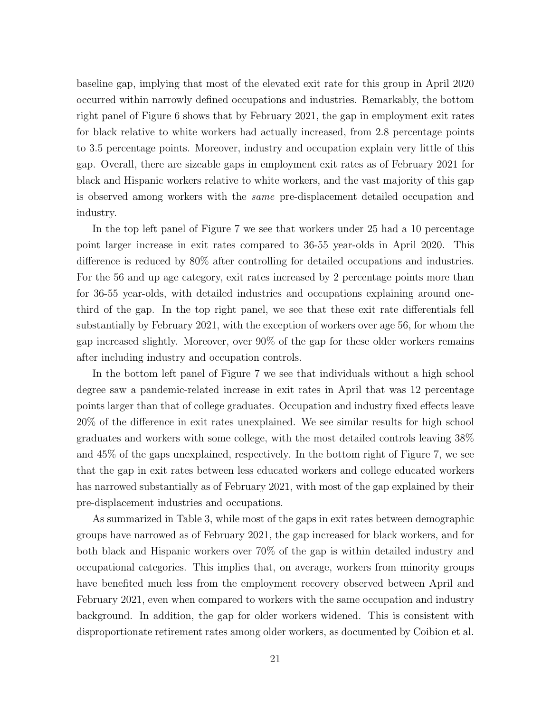baseline gap, implying that most of the elevated exit rate for this group in April 2020 occurred within narrowly defined occupations and industries. Remarkably, the bottom right panel of Figure 6 shows that by February 2021, the gap in employment exit rates for black relative to white workers had actually increased, from 2.8 percentage points to 3.5 percentage points. Moreover, industry and occupation explain very little of this gap. Overall, there are sizeable gaps in employment exit rates as of February 2021 for black and Hispanic workers relative to white workers, and the vast majority of this gap is observed among workers with the same pre-displacement detailed occupation and industry.

In the top left panel of Figure 7 we see that workers under 25 had a 10 percentage point larger increase in exit rates compared to 36-55 year-olds in April 2020. This difference is reduced by 80% after controlling for detailed occupations and industries. For the 56 and up age category, exit rates increased by 2 percentage points more than for 36-55 year-olds, with detailed industries and occupations explaining around onethird of the gap. In the top right panel, we see that these exit rate differentials fell substantially by February 2021, with the exception of workers over age 56, for whom the gap increased slightly. Moreover, over 90% of the gap for these older workers remains after including industry and occupation controls.

In the bottom left panel of Figure 7 we see that individuals without a high school degree saw a pandemic-related increase in exit rates in April that was 12 percentage points larger than that of college graduates. Occupation and industry fixed effects leave 20% of the difference in exit rates unexplained. We see similar results for high school graduates and workers with some college, with the most detailed controls leaving 38% and 45% of the gaps unexplained, respectively. In the bottom right of Figure 7, we see that the gap in exit rates between less educated workers and college educated workers has narrowed substantially as of February 2021, with most of the gap explained by their pre-displacement industries and occupations.

As summarized in Table 3, while most of the gaps in exit rates between demographic groups have narrowed as of February 2021, the gap increased for black workers, and for both black and Hispanic workers over 70% of the gap is within detailed industry and occupational categories. This implies that, on average, workers from minority groups have benefited much less from the employment recovery observed between April and February 2021, even when compared to workers with the same occupation and industry background. In addition, the gap for older workers widened. This is consistent with disproportionate retirement rates among older workers, as documented by Coibion et al.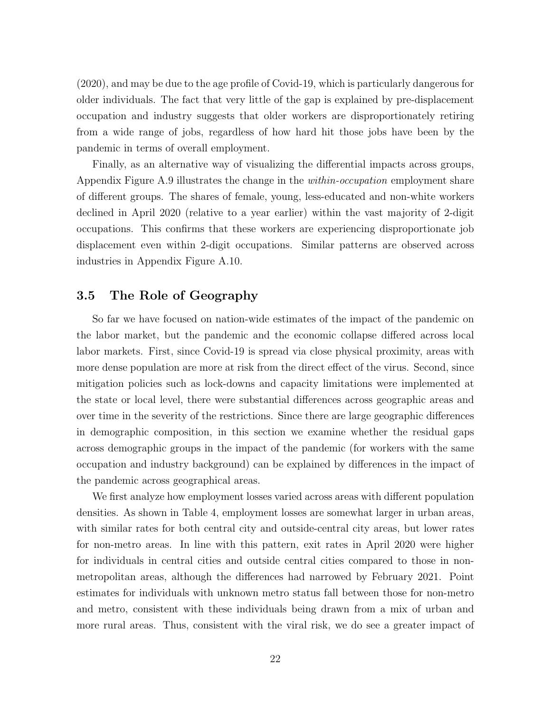(2020), and may be due to the age profile of Covid-19, which is particularly dangerous for older individuals. The fact that very little of the gap is explained by pre-displacement occupation and industry suggests that older workers are disproportionately retiring from a wide range of jobs, regardless of how hard hit those jobs have been by the pandemic in terms of overall employment.

Finally, as an alternative way of visualizing the differential impacts across groups, Appendix Figure A.9 illustrates the change in the *within-occupation* employment share of different groups. The shares of female, young, less-educated and non-white workers declined in April 2020 (relative to a year earlier) within the vast majority of 2-digit occupations. This confirms that these workers are experiencing disproportionate job displacement even within 2-digit occupations. Similar patterns are observed across industries in Appendix Figure A.10.

## 3.5 The Role of Geography

So far we have focused on nation-wide estimates of the impact of the pandemic on the labor market, but the pandemic and the economic collapse differed across local labor markets. First, since Covid-19 is spread via close physical proximity, areas with more dense population are more at risk from the direct effect of the virus. Second, since mitigation policies such as lock-downs and capacity limitations were implemented at the state or local level, there were substantial differences across geographic areas and over time in the severity of the restrictions. Since there are large geographic differences in demographic composition, in this section we examine whether the residual gaps across demographic groups in the impact of the pandemic (for workers with the same occupation and industry background) can be explained by differences in the impact of the pandemic across geographical areas.

We first analyze how employment losses varied across areas with different population densities. As shown in Table 4, employment losses are somewhat larger in urban areas, with similar rates for both central city and outside-central city areas, but lower rates for non-metro areas. In line with this pattern, exit rates in April 2020 were higher for individuals in central cities and outside central cities compared to those in nonmetropolitan areas, although the differences had narrowed by February 2021. Point estimates for individuals with unknown metro status fall between those for non-metro and metro, consistent with these individuals being drawn from a mix of urban and more rural areas. Thus, consistent with the viral risk, we do see a greater impact of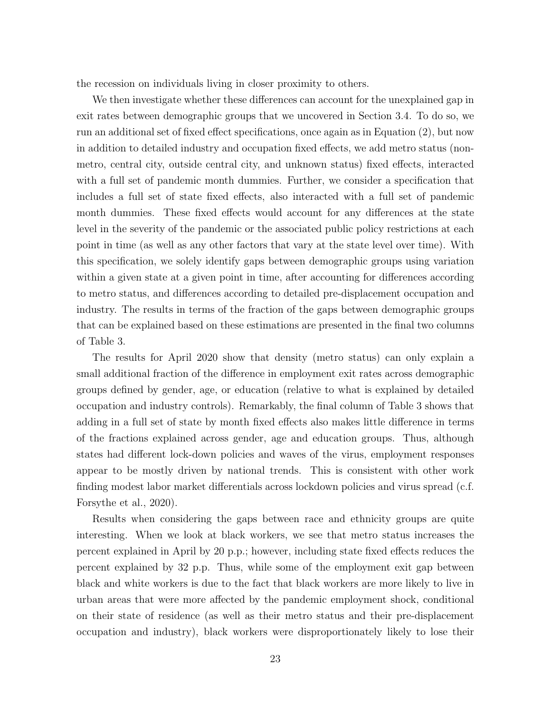the recession on individuals living in closer proximity to others.

We then investigate whether these differences can account for the unexplained gap in exit rates between demographic groups that we uncovered in Section 3.4. To do so, we run an additional set of fixed effect specifications, once again as in Equation (2), but now in addition to detailed industry and occupation fixed effects, we add metro status (nonmetro, central city, outside central city, and unknown status) fixed effects, interacted with a full set of pandemic month dummies. Further, we consider a specification that includes a full set of state fixed effects, also interacted with a full set of pandemic month dummies. These fixed effects would account for any differences at the state level in the severity of the pandemic or the associated public policy restrictions at each point in time (as well as any other factors that vary at the state level over time). With this specification, we solely identify gaps between demographic groups using variation within a given state at a given point in time, after accounting for differences according to metro status, and differences according to detailed pre-displacement occupation and industry. The results in terms of the fraction of the gaps between demographic groups that can be explained based on these estimations are presented in the final two columns of Table 3.

The results for April 2020 show that density (metro status) can only explain a small additional fraction of the difference in employment exit rates across demographic groups defined by gender, age, or education (relative to what is explained by detailed occupation and industry controls). Remarkably, the final column of Table 3 shows that adding in a full set of state by month fixed effects also makes little difference in terms of the fractions explained across gender, age and education groups. Thus, although states had different lock-down policies and waves of the virus, employment responses appear to be mostly driven by national trends. This is consistent with other work finding modest labor market differentials across lockdown policies and virus spread (c.f. Forsythe et al., 2020).

Results when considering the gaps between race and ethnicity groups are quite interesting. When we look at black workers, we see that metro status increases the percent explained in April by 20 p.p.; however, including state fixed effects reduces the percent explained by 32 p.p. Thus, while some of the employment exit gap between black and white workers is due to the fact that black workers are more likely to live in urban areas that were more affected by the pandemic employment shock, conditional on their state of residence (as well as their metro status and their pre-displacement occupation and industry), black workers were disproportionately likely to lose their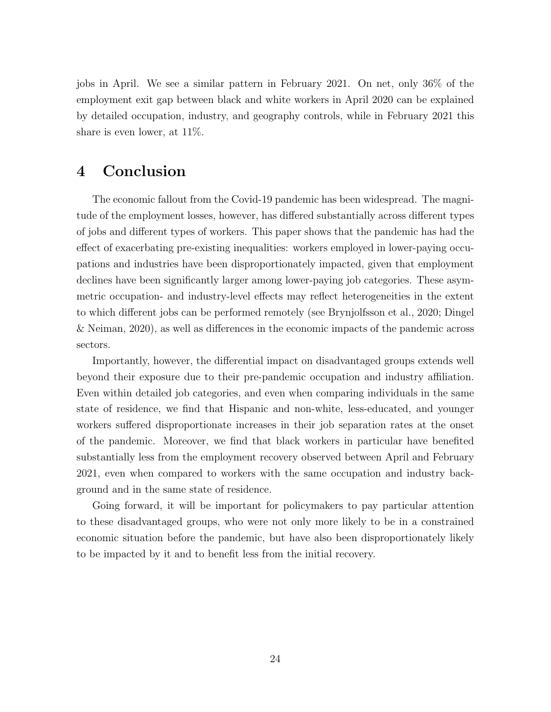jobs in April. We see a similar pattern in February 2021. On net, only 36% of the employment exit gap between black and white workers in April 2020 can be explained by detailed occupation, industry, and geography controls, while in February 2021 this share is even lower, at 11%.

## 4 Conclusion

The economic fallout from the Covid-19 pandemic has been widespread. The magnitude of the employment losses, however, has differed substantially across different types of jobs and different types of workers. This paper shows that the pandemic has had the effect of exacerbating pre-existing inequalities: workers employed in lower-paying occupations and industries have been disproportionately impacted, given that employment declines have been significantly larger among lower-paying job categories. These asymmetric occupation- and industry-level effects may reflect heterogeneities in the extent to which different jobs can be performed remotely (see Brynjolfsson et al., 2020; Dingel & Neiman, 2020), as well as differences in the economic impacts of the pandemic across sectors.

Importantly, however, the differential impact on disadvantaged groups extends well beyond their exposure due to their pre-pandemic occupation and industry affiliation. Even within detailed job categories, and even when comparing individuals in the same state of residence, we find that Hispanic and non-white, less-educated, and younger workers suffered disproportionate increases in their job separation rates at the onset of the pandemic. Moreover, we find that black workers in particular have benefited substantially less from the employment recovery observed between April and February 2021, even when compared to workers with the same occupation and industry background and in the same state of residence.

Going forward, it will be important for policymakers to pay particular attention to these disadvantaged groups, who were not only more likely to be in a constrained economic situation before the pandemic, but have also been disproportionately likely to be impacted by it and to benefit less from the initial recovery.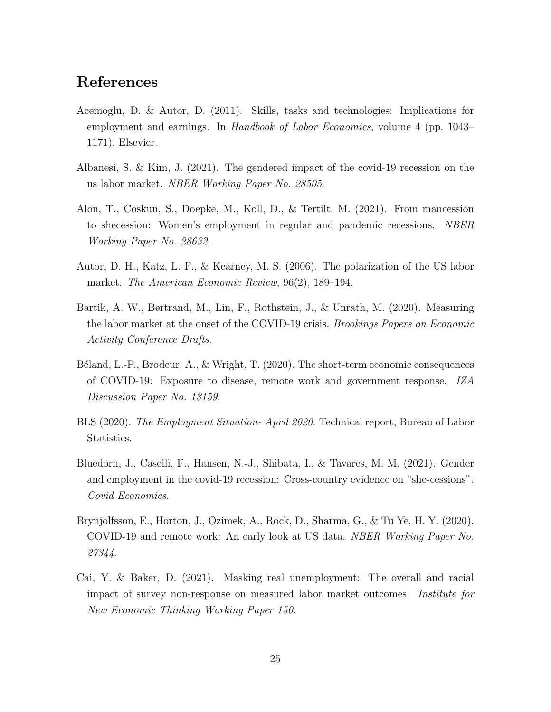# References

- Acemoglu, D. & Autor, D. (2011). Skills, tasks and technologies: Implications for employment and earnings. In *Handbook of Labor Economics*, volume 4 (pp. 1043– 1171). Elsevier.
- Albanesi, S. & Kim, J. (2021). The gendered impact of the covid-19 recession on the us labor market. NBER Working Paper No. 28505.
- Alon, T., Coskun, S., Doepke, M., Koll, D., & Tertilt, M. (2021). From mancession to shecession: Women's employment in regular and pandemic recessions. NBER Working Paper No. 28632.
- Autor, D. H., Katz, L. F., & Kearney, M. S. (2006). The polarization of the US labor market. The American Economic Review, 96(2), 189–194.
- Bartik, A. W., Bertrand, M., Lin, F., Rothstein, J., & Unrath, M. (2020). Measuring the labor market at the onset of the COVID-19 crisis. Brookings Papers on Economic Activity Conference Drafts.
- Béland, L.-P., Brodeur, A.,  $\&$  Wright, T. (2020). The short-term economic consequences of COVID-19: Exposure to disease, remote work and government response. IZA Discussion Paper No. 13159.
- BLS (2020). The Employment Situation- April 2020. Technical report, Bureau of Labor Statistics.
- Bluedorn, J., Caselli, F., Hansen, N.-J., Shibata, I., & Tavares, M. M. (2021). Gender and employment in the covid-19 recession: Cross-country evidence on "she-cessions". Covid Economics.
- Brynjolfsson, E., Horton, J., Ozimek, A., Rock, D., Sharma, G., & Tu Ye, H. Y. (2020). COVID-19 and remote work: An early look at US data. NBER Working Paper No. 27344.
- Cai, Y. & Baker, D. (2021). Masking real unemployment: The overall and racial impact of survey non-response on measured labor market outcomes. Institute for New Economic Thinking Working Paper 150.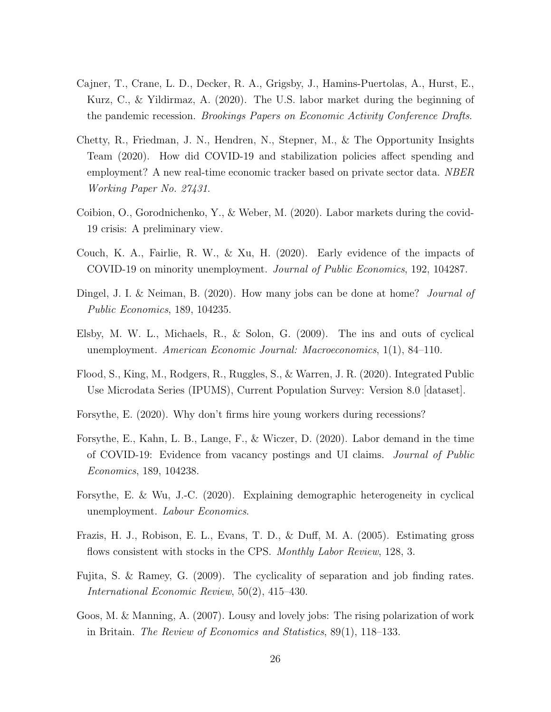- Cajner, T., Crane, L. D., Decker, R. A., Grigsby, J., Hamins-Puertolas, A., Hurst, E., Kurz, C., & Yildirmaz, A. (2020). The U.S. labor market during the beginning of the pandemic recession. Brookings Papers on Economic Activity Conference Drafts.
- Chetty, R., Friedman, J. N., Hendren, N., Stepner, M., & The Opportunity Insights Team (2020). How did COVID-19 and stabilization policies affect spending and employment? A new real-time economic tracker based on private sector data. NBER Working Paper No. 27431.
- Coibion, O., Gorodnichenko, Y., & Weber, M. (2020). Labor markets during the covid-19 crisis: A preliminary view.
- Couch, K. A., Fairlie, R. W., & Xu, H. (2020). Early evidence of the impacts of COVID-19 on minority unemployment. Journal of Public Economics, 192, 104287.
- Dingel, J. I. & Neiman, B. (2020). How many jobs can be done at home? *Journal of* Public Economics, 189, 104235.
- Elsby, M. W. L., Michaels, R., & Solon, G. (2009). The ins and outs of cyclical unemployment. American Economic Journal: Macroeconomics, 1(1), 84–110.
- Flood, S., King, M., Rodgers, R., Ruggles, S., & Warren, J. R. (2020). Integrated Public Use Microdata Series (IPUMS), Current Population Survey: Version 8.0 [dataset].
- Forsythe, E. (2020). Why don't firms hire young workers during recessions?
- Forsythe, E., Kahn, L. B., Lange, F., & Wiczer, D. (2020). Labor demand in the time of COVID-19: Evidence from vacancy postings and UI claims. Journal of Public Economics, 189, 104238.
- Forsythe, E. & Wu, J.-C. (2020). Explaining demographic heterogeneity in cyclical unemployment. Labour Economics.
- Frazis, H. J., Robison, E. L., Evans, T. D., & Duff, M. A. (2005). Estimating gross flows consistent with stocks in the CPS. Monthly Labor Review, 128, 3.
- Fujita, S. & Ramey, G. (2009). The cyclicality of separation and job finding rates. International Economic Review, 50(2), 415–430.
- Goos, M. & Manning, A. (2007). Lousy and lovely jobs: The rising polarization of work in Britain. The Review of Economics and Statistics, 89(1), 118–133.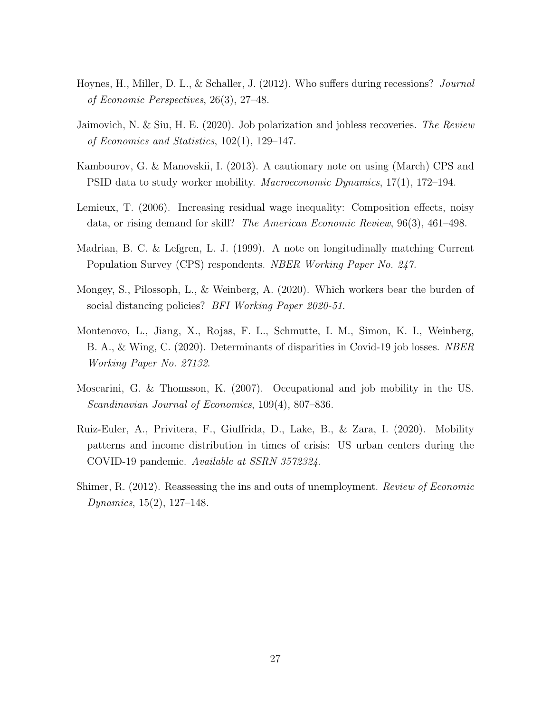- Hoynes, H., Miller, D. L., & Schaller, J. (2012). Who suffers during recessions? Journal of Economic Perspectives, 26(3), 27–48.
- Jaimovich, N. & Siu, H. E. (2020). Job polarization and jobless recoveries. The Review of Economics and Statistics, 102(1), 129–147.
- Kambourov, G. & Manovskii, I. (2013). A cautionary note on using (March) CPS and PSID data to study worker mobility. Macroeconomic Dynamics, 17(1), 172–194.
- Lemieux, T. (2006). Increasing residual wage inequality: Composition effects, noisy data, or rising demand for skill? The American Economic Review, 96(3), 461–498.
- Madrian, B. C. & Lefgren, L. J. (1999). A note on longitudinally matching Current Population Survey (CPS) respondents. NBER Working Paper No. 247.
- Mongey, S., Pilossoph, L., & Weinberg, A. (2020). Which workers bear the burden of social distancing policies? *BFI Working Paper 2020-51*.
- Montenovo, L., Jiang, X., Rojas, F. L., Schmutte, I. M., Simon, K. I., Weinberg, B. A., & Wing, C. (2020). Determinants of disparities in Covid-19 job losses. NBER Working Paper No. 27132.
- Moscarini, G. & Thomsson, K. (2007). Occupational and job mobility in the US. Scandinavian Journal of Economics, 109(4), 807–836.
- Ruiz-Euler, A., Privitera, F., Giuffrida, D., Lake, B., & Zara, I. (2020). Mobility patterns and income distribution in times of crisis: US urban centers during the COVID-19 pandemic. Available at SSRN 3572324.
- Shimer, R. (2012). Reassessing the ins and outs of unemployment. Review of Economic Dynamics, 15(2), 127–148.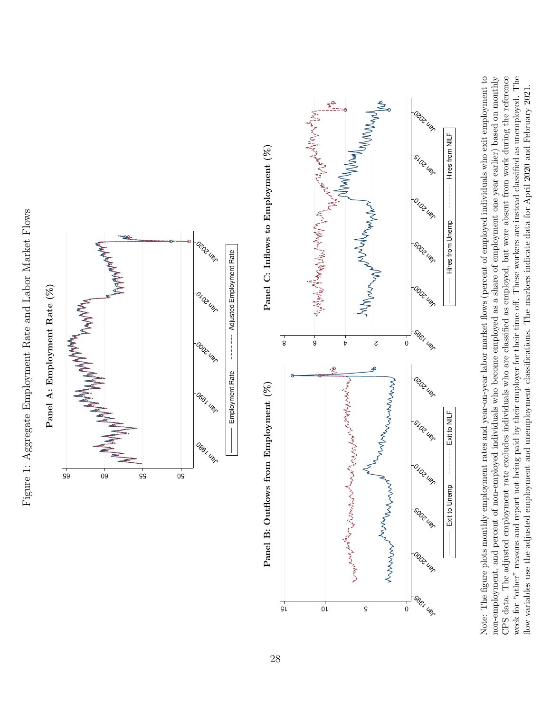Figure 1: Aggregate Employment Rate and Labor Market Flows Figure 1: Aggregate Employment Rate and Labor Market Flows





CPS data. The adjusted employment rate excludes individuals who are classified as employed, but were absent from work during the reference Note: The figure plots monthly employment rates and year-on-year labor market flows (percent of employed individuals who exit employment to non-employment, and percent of non-employed individuals who become employed as a share of employment one year earlier) based on monthly week for "other" reasons and report not being paid by their employer for their time off. These workers are instead classified as unemployed. The Note: The figure plots monthly employment rates and year-on-year labor market flows (percent of employed individuals who exit employment to non-employment, and percent of non-employed individuals who become employed as a share of employment one year earlier) based on monthly CPS data. The adjusted employment rate excludes individuals who are classified as employed, but were absent from work during the reference week for "other" reasons and report not being paid by their employer for their time off. These workers are instead classified as unemployed. The flow variables use the adjusted employment and unemployment classifications. The markers indicate data for April 2020 and February 2021. flow variables use the adjusted employment and unemployment classifications. The markers indicate data for April 2020 and February 2021.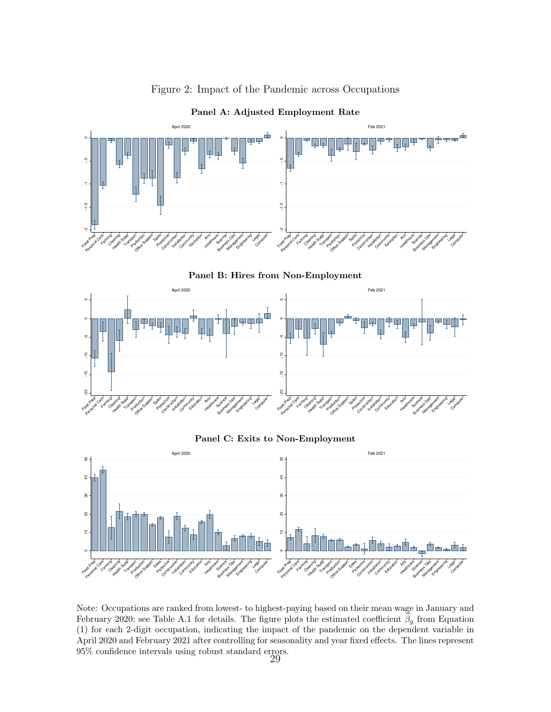

Figure 2: Impact of the Pandemic across Occupations

Panel B: Hires from Non-Employment



#### Panel C: Exits to Non-Employment



Note: Occupations are ranked from lowest- to highest-paying based on their mean wage in January and February 2020; see Table A.1 for details. The figure plots the estimated coefficient  $\hat{\beta}_g$  from Equation (1) for each 2-digit occupation, indicating the impact of the pandemic on the dependent variable in April 2020 and February 2021 after controlling for seasonality and year fixed effects. The lines represent 95% confidence intervals using robust standard errors. 29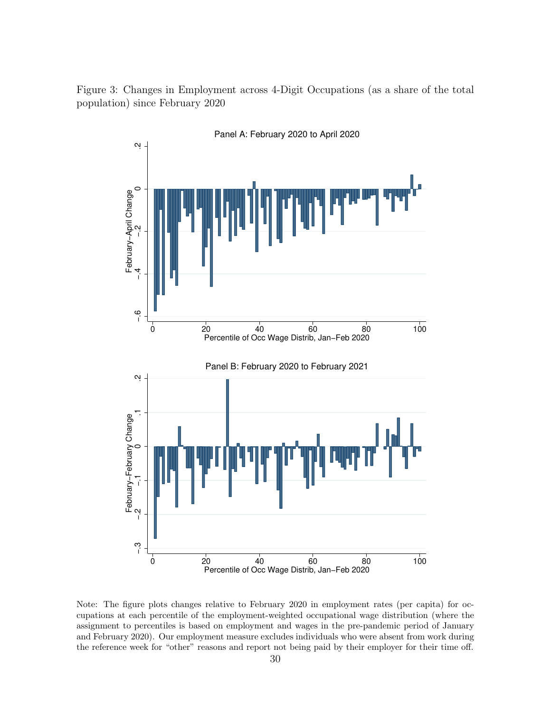Figure 3: Changes in Employment across 4-Digit Occupations (as a share of the total population) since February 2020



Note: The figure plots changes relative to February 2020 in employment rates (per capita) for occupations at each percentile of the employment-weighted occupational wage distribution (where the assignment to percentiles is based on employment and wages in the pre-pandemic period of January and February 2020). Our employment measure excludes individuals who were absent from work during the reference week for "other" reasons and report not being paid by their employer for their time off.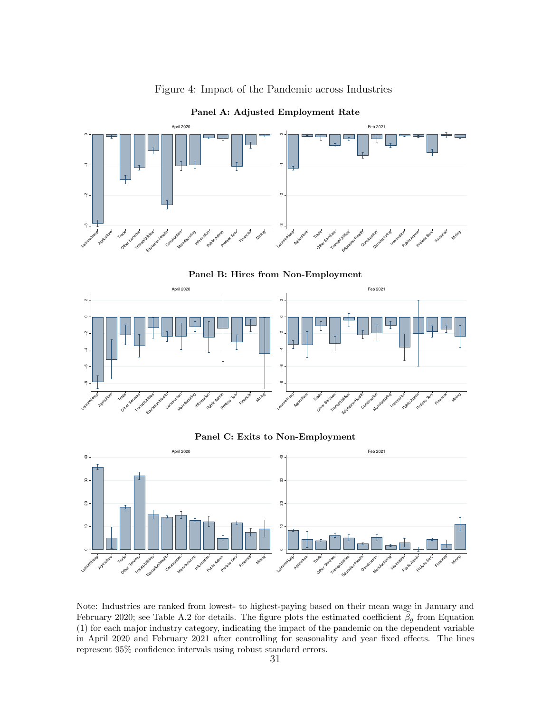

Figure 4: Impact of the Pandemic across Industries

Panel B: Hires from Non-Employment



Panel C: Exits to Non-Employment



Note: Industries are ranked from lowest- to highest-paying based on their mean wage in January and February 2020; see Table A.2 for details. The figure plots the estimated coefficient  $\hat{\beta}_g$  from Equation (1) for each major industry category, indicating the impact of the pandemic on the dependent variable in April 2020 and February 2021 after controlling for seasonality and year fixed effects. The lines represent 95% confidence intervals using robust standard errors.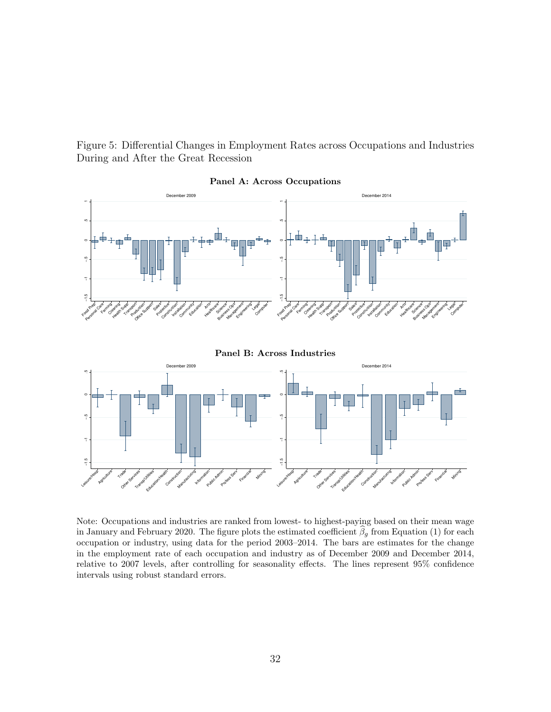Figure 5: Differential Changes in Employment Rates across Occupations and Industries During and After the Great Recession



Panel A: Across Occupations

Panel B: Across Industries



Note: Occupations and industries are ranked from lowest- to highest-paying based on their mean wage in January and February 2020. The figure plots the estimated coefficient  $\beta_g$  from Equation (1) for each occupation or industry, using data for the period 2003–2014. The bars are estimates for the change in the employment rate of each occupation and industry as of December 2009 and December 2014, relative to 2007 levels, after controlling for seasonality effects. The lines represent 95% confidence intervals using robust standard errors.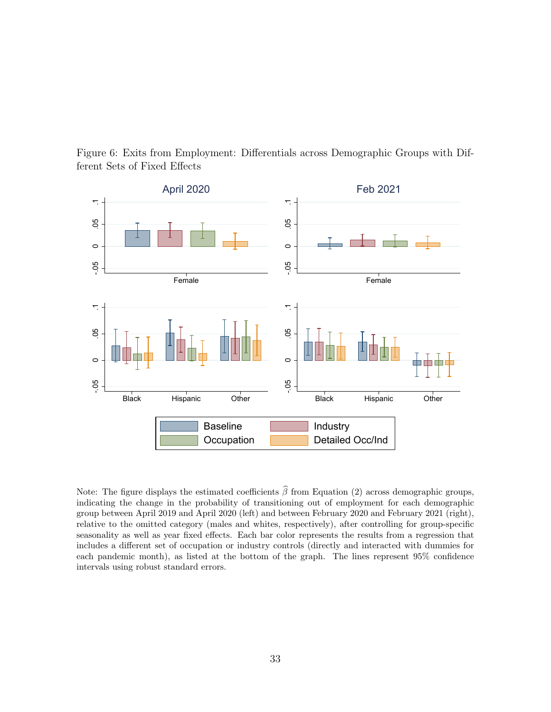



Note: The figure displays the estimated coefficients  $\hat{\beta}$  from Equation (2) across demographic groups, indicating the change in the probability of transitioning out of employment for each demographic group between April 2019 and April 2020 (left) and between February 2020 and February 2021 (right), relative to the omitted category (males and whites, respectively), after controlling for group-specific seasonality as well as year fixed effects. Each bar color represents the results from a regression that includes a different set of occupation or industry controls (directly and interacted with dummies for each pandemic month), as listed at the bottom of the graph. The lines represent 95% confidence intervals using robust standard errors.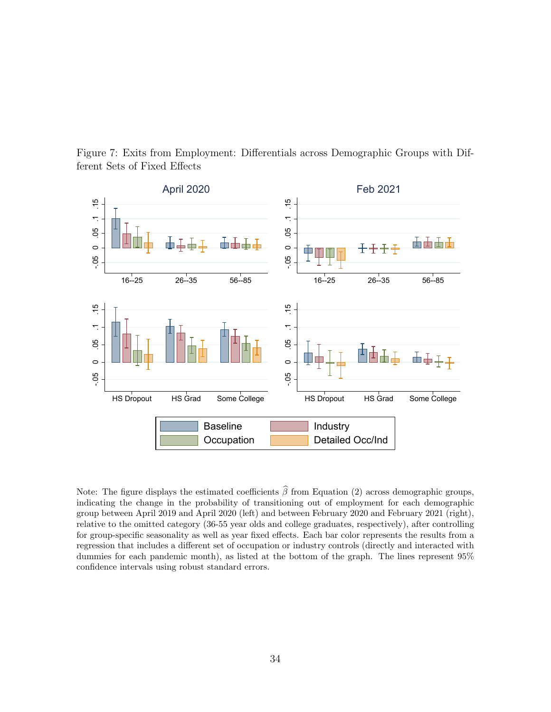



Note: The figure displays the estimated coefficients  $\hat{\beta}$  from Equation (2) across demographic groups, indicating the change in the probability of transitioning out of employment for each demographic group between April 2019 and April 2020 (left) and between February 2020 and February 2021 (right), relative to the omitted category (36-55 year olds and college graduates, respectively), after controlling for group-specific seasonality as well as year fixed effects. Each bar color represents the results from a regression that includes a different set of occupation or industry controls (directly and interacted with dummies for each pandemic month), as listed at the bottom of the graph. The lines represent 95% confidence intervals using robust standard errors.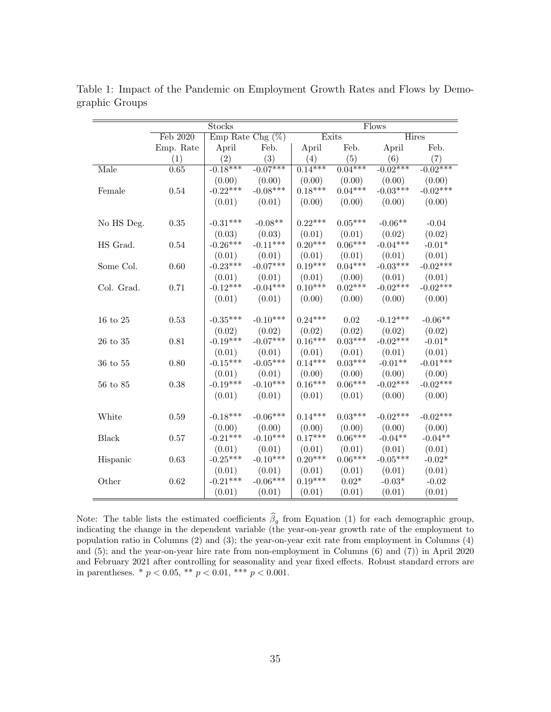|                | Stocks    |                       |                     | <b>Flows</b> |                      |            |            |  |
|----------------|-----------|-----------------------|---------------------|--------------|----------------------|------------|------------|--|
|                | Feb 2020  |                       | Emp Rate Chg $(\%)$ |              | Exits                |            | Hires      |  |
|                | Emp. Rate | April                 | Feb.                | April        | Feb.                 | April      | Feb.       |  |
|                | (1)       | (2)                   | (3)                 | (4)          | (5)                  | (6)        | (7)        |  |
| Male           | 0.65      | $-0.\overline{18***}$ | $-0.07***$          | $0.14***$    | $0.\overline{04***}$ | $-0.02***$ | $-0.02***$ |  |
|                |           | (0.00)                | (0.00)              | (0.00)       | (0.00)               | (0.00)     | (0.00)     |  |
| Female         | 0.54      | $-0.22***$            | $-0.08***$          | $0.18***$    | $0.04***$            | $-0.03***$ | $-0.02***$ |  |
|                |           | (0.01)                | (0.01)              | (0.00)       | (0.00)               | (0.00)     | (0.00)     |  |
|                |           |                       |                     |              |                      |            |            |  |
| No HS Deg.     | 0.35      | $-0.31***$            | $-0.08**$           | $0.22***$    | $0.05***$            | $-0.06**$  | $-0.04$    |  |
|                |           | (0.03)                | (0.03)              | (0.01)       | (0.01)               | (0.02)     | (0.02)     |  |
| HS Grad.       | 0.54      | $-0.26***$            | $-0.11***$          | $0.20***$    | $0.06***$            | $-0.04***$ | $-0.01*$   |  |
|                |           | (0.01)                | (0.01)              | (0.01)       | (0.01)               | (0.01)     | (0.01)     |  |
| Some Col.      | 0.60      | $-0.23***$            | $-0.07***$          | $0.19***$    | $0.04***$            | $-0.03***$ | $-0.02***$ |  |
|                |           | (0.01)                | (0.01)              | (0.01)       | (0.00)               | (0.01)     | (0.01)     |  |
| Col. Grad.     | 0.71      | $-0.12***$            | $-0.04***$          | $0.10***$    | $0.02***$            | $-0.02***$ | $-0.02***$ |  |
|                |           | (0.01)                | (0.01)              | (0.00)       | (0.00)               | (0.00)     | (0.00)     |  |
|                |           |                       |                     |              |                      |            |            |  |
| $16$ to $25\,$ | 0.53      | $-0.35***$            | $-0.10***$          | $0.24***$    | 0.02                 | $-0.12***$ | $-0.06**$  |  |
|                |           | (0.02)                | (0.02)              | (0.02)       | (0.02)               | (0.02)     | (0.02)     |  |
| 26 to 35       | 0.81      | $-0.19***$            | $-0.07***$          | $0.16***$    | $0.03***$            | $-0.02***$ | $-0.01*$   |  |
|                |           | (0.01)                | (0.01)              | (0.01)       | (0.01)               | (0.01)     | (0.01)     |  |
| 36 to 55       | 0.80      | $-0.15***$            | $-0.05***$          | $0.14***$    | $0.03***$            | $-0.01**$  | $-0.01***$ |  |
|                |           | (0.01)                | (0.01)              | (0.00)       | (0.00)               | (0.00)     | (0.00)     |  |
| 56 to 85       | 0.38      | $-0.19***$            | $-0.10***$          | $0.16***$    | $0.06***$            | $-0.02***$ | $-0.02***$ |  |
|                |           | (0.01)                | (0.01)              | (0.01)       | (0.01)               | (0.00)     | (0.00)     |  |
|                |           |                       |                     |              |                      |            |            |  |
| White          | 0.59      | $-0.18***$            | $-0.06***$          | $0.14***$    | $0.03***$            | $-0.02***$ | $-0.02***$ |  |
|                |           | (0.00)                | (0.00)              | (0.00)       | (0.00)               | (0.00)     | (0.00)     |  |
| <b>Black</b>   | 0.57      | $-0.21***$            | $-0.10***$          | $0.17***$    | $0.06***$            | $-0.04**$  | $-0.04**$  |  |
|                |           | (0.01)                | (0.01)              | (0.01)       | (0.01)               | (0.01)     | (0.01)     |  |
| Hispanic       | 0.63      | $-0.25***$            | $-0.10***$          | $0.20***$    | $0.06***$            | $-0.05***$ | $-0.02*$   |  |
|                |           | (0.01)                | (0.01)              | (0.01)       | (0.01)               | (0.01)     | (0.01)     |  |
| Other          | 0.62      | $-0.21***$            | $-0.06***$          | $0.19***$    | $0.02*$              | $-0.03*$   | $-0.02$    |  |
|                |           | (0.01)                | (0.01)              | (0.01)       | (0.01)               | (0.01)     | (0.01)     |  |

Table 1: Impact of the Pandemic on Employment Growth Rates and Flows by Demographic Groups

Note: The table lists the estimated coefficients  $\hat{\beta}_g$  from Equation (1) for each demographic group, indicating the change in the dependent variable (the year-on-year growth rate of the employment to population ratio in Columns (2) and (3); the year-on-year exit rate from employment in Columns (4) and (5); and the year-on-year hire rate from non-employment in Columns (6) and (7)) in April 2020 and February 2021 after controlling for seasonality and year fixed effects. Robust standard errors are in parentheses. \* $p<0.05,$  \*\* $p<0.01,$  \*\*\*  $p<0.001.$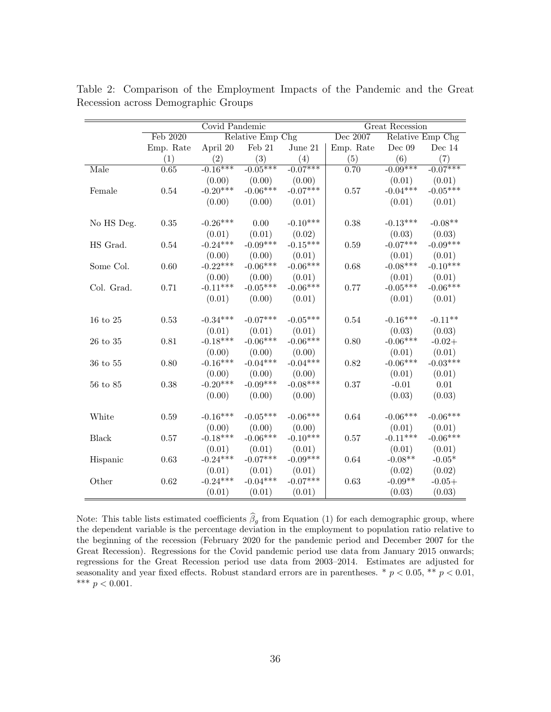|                | Covid Pandemic |            |                  | Great Recession |           |            |                  |
|----------------|----------------|------------|------------------|-----------------|-----------|------------|------------------|
|                | Feb 2020       |            | Relative Emp Chg |                 | Dec 2007  |            | Relative Emp Chg |
|                | Emp. Rate      | April 20   | Feb $21$         | June $21$       | Emp. Rate | Dec $09$   | Dec $14$         |
|                | (1)            | (2)        | (3)              | (4)             | (5)       | (6)        | (7)              |
| Male           | 0.65           | $-0.16***$ | $-0.05***$       | $-0.07***$      | 0.70      | $-0.09***$ | $-0.07***$       |
|                |                | (0.00)     | (0.00)           | (0.00)          |           | (0.01)     | (0.01)           |
| Female         | $0.54\,$       | $-0.20***$ | $-0.06***$       | $-0.07***$      | 0.57      | $-0.04***$ | $-0.05***$       |
|                |                | (0.00)     | (0.00)           | (0.01)          |           | (0.01)     | (0.01)           |
|                |                |            |                  |                 |           |            |                  |
| No HS Deg.     | 0.35           | $-0.26***$ | 0.00             | $-0.10***$      | 0.38      | $-0.13***$ | $-0.08**$        |
|                |                | (0.01)     | (0.01)           | (0.02)          |           | (0.03)     | (0.03)           |
| HS Grad.       | 0.54           | $-0.24***$ | $-0.09***$       | $-0.15***$      | 0.59      | $-0.07***$ | $-0.09***$       |
|                |                | (0.00)     | (0.00)           | (0.01)          |           | (0.01)     | (0.01)           |
| Some Col.      | 0.60           | $-0.22***$ | $-0.06***$       | $-0.06***$      | 0.68      | $-0.08***$ | $-0.10***$       |
|                |                | (0.00)     | (0.00)           | (0.01)          |           | (0.01)     | (0.01)           |
| Col. Grad.     | 0.71           | $-0.11***$ | $-0.05***$       | $-0.06***$      | 0.77      | $-0.05***$ | $-0.06***$       |
|                |                | (0.01)     | (0.00)           | (0.01)          |           | (0.01)     | (0.01)           |
|                |                |            |                  |                 |           |            |                  |
| $16$ to $25\,$ | 0.53           | $-0.34***$ | $-0.07***$       | $-0.05***$      | 0.54      | $-0.16***$ | $-0.11**$        |
|                |                | (0.01)     | (0.01)           | (0.01)          |           | (0.03)     | (0.03)           |
| $26$ to $35\,$ | $0.81\,$       | $-0.18***$ | $-0.06***$       | $-0.06***$      | 0.80      | $-0.06***$ | $-0.02+$         |
|                |                | (0.00)     | (0.00)           | (0.00)          |           | (0.01)     | (0.01)           |
| 36 to 55       | 0.80           | $-0.16***$ | $-0.04***$       | $-0.04***$      | 0.82      | $-0.06***$ | $-0.03***$       |
|                |                | (0.00)     | (0.00)           | (0.00)          |           | (0.01)     | (0.01)           |
| $56$ to $85\,$ | 0.38           | $-0.20***$ | $-0.09***$       | $-0.08***$      | 0.37      | $-0.01$    | 0.01             |
|                |                | (0.00)     | (0.00)           | (0.00)          |           | (0.03)     | (0.03)           |
|                |                |            |                  |                 |           |            |                  |
| White          | 0.59           | $-0.16***$ | $-0.05***$       | $-0.06***$      | 0.64      | $-0.06***$ | $-0.06***$       |
|                |                | (0.00)     | (0.00)           | (0.00)          |           | (0.01)     | (0.01)           |
| <b>Black</b>   | 0.57           | $-0.18***$ | $-0.06***$       | $-0.10***$      | 0.57      | $-0.11***$ | $-0.06***$       |
|                |                | (0.01)     | (0.01)           | (0.01)          |           | (0.01)     | (0.01)           |
| Hispanic       | 0.63           | $-0.24***$ | $-0.07***$       | $-0.09***$      | 0.64      | $-0.08**$  | $-0.05*$         |
|                |                | (0.01)     | (0.01)           | (0.01)          |           | (0.02)     | (0.02)           |
| Other          | 0.62           | $-0.24***$ | $-0.04***$       | $-0.07***$      | 0.63      | $-0.09**$  | $-0.05+$         |
|                |                | (0.01)     | (0.01)           | (0.01)          |           | (0.03)     | (0.03)           |

Table 2: Comparison of the Employment Impacts of the Pandemic and the Great Recession across Demographic Groups

Note: This table lists estimated coefficients  $\hat{\beta}_g$  from Equation (1) for each demographic group, where the dependent variable is the percentage deviation in the employment to population ratio relative to the beginning of the recession (February 2020 for the pandemic period and December 2007 for the Great Recession). Regressions for the Covid pandemic period use data from January 2015 onwards; regressions for the Great Recession period use data from 2003–2014. Estimates are adjusted for seasonality and year fixed effects. Robust standard errors are in parentheses. \*  $p < 0.05$ , \*\*  $p < 0.01$ , \*\*\* $p < 0.001.$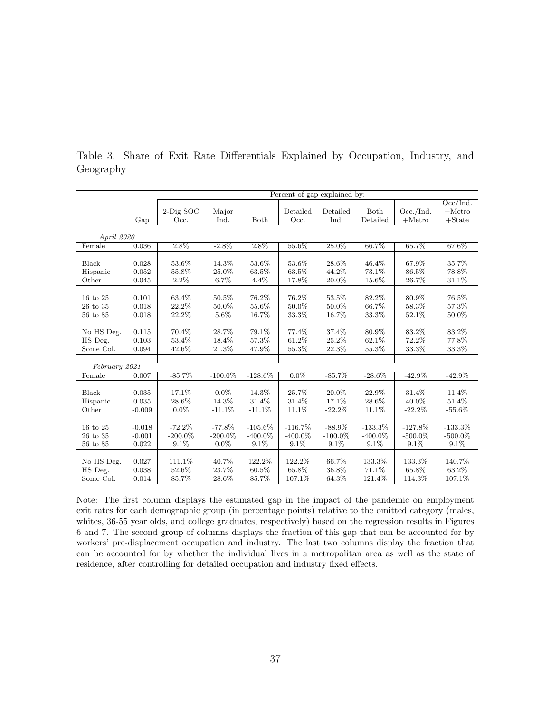|                |          | Percent of gap explained by: |            |            |            |            |            |            |            |
|----------------|----------|------------------------------|------------|------------|------------|------------|------------|------------|------------|
|                |          |                              |            |            |            |            |            |            | Occ/Ind.   |
|                |          | 2-Dig SOC                    | Major      |            | Detailed   | Detailed   | Both       | Occ./Ind.  | $+$ Metro  |
|                | Gap      | Occ.                         | Ind.       | Both       | Occ.       | Ind.       | Detailed   | $+$ Metro  | $+$ State  |
|                |          |                              |            |            |            |            |            |            |            |
| April 2020     |          |                              |            |            |            |            |            |            |            |
| Female         | 0.036    | 2.8%                         | $-2.8\%$   | 2.8%       | 55.6%      | 25.0%      | 66.7%      | 65.7%      | 67.6%      |
|                |          |                              |            |            |            |            |            |            |            |
| <b>Black</b>   | 0.028    | 53.6%                        | 14.3%      | 53.6%      | 53.6%      | 28.6%      | 46.4%      | 67.9%      | 35.7%      |
| Hispanic       | 0.052    | 55.8%                        | 25.0%      | 63.5%      | 63.5%      | 44.2%      | 73.1%      | 86.5%      | 78.8%      |
| Other          | 0.045    | 2.2%                         | 6.7%       | 4.4%       | 17.8%      | 20.0%      | 15.6%      | 26.7%      | 31.1%      |
|                |          |                              |            |            |            |            |            |            |            |
| 16 to 25       | 0.101    | 63.4%                        | 50.5%      | 76.2%      | 76.2%      | 53.5%      | 82.2%      | 80.9%      | 76.5%      |
| $26$ to $35\,$ | 0.018    | 22.2%                        | 50.0%      | 55.6%      | 50.0%      | 50.0%      | 66.7%      | 58.3%      | 57.3%      |
| 56 to 85       | 0.018    | 22.2%                        | 5.6%       | 16.7%      | 33.3%      | 16.7%      | 33.3%      | 52.1%      | 50.0%      |
|                |          |                              |            |            |            |            |            |            |            |
| No HS Deg.     | 0.115    | 70.4%                        | 28.7%      | 79.1%      | 77.4%      | 37.4%      | 80.9%      | 83.2%      | 83.2%      |
| HS Deg.        | 0.103    | 53.4%                        | 18.4%      | 57.3%      | 61.2%      | 25.2%      | 62.1%      | 72.2%      | 77.8%      |
| Some Col.      | 0.094    | 42.6%                        | 21.3%      | 47.9%      | 55.3%      | 22.3%      | 55.3%      | 33.3%      | 33.3%      |
|                |          |                              |            |            |            |            |            |            |            |
| February 2021  |          |                              |            |            |            |            |            |            |            |
| Female         | 0.007    | $-85.7%$                     | $-100.0\%$ | $-128.6\%$ | $0.0\%$    | $-85.7%$   | $-28.6\%$  | $-42.9\%$  | $-42.9\%$  |
|                |          |                              |            |            |            |            |            |            |            |
| Black          | 0.035    | 17.1%                        | $0.0\%$    | 14.3%      | 25.7%      | 20.0%      | 22.9%      | 31.4%      | 11.4%      |
| Hispanic       | 0.035    | 28.6%                        | 14.3%      | 31.4%      | 31.4%      | 17.1%      | 28.6%      | 40.0%      | 51.4%      |
| Other          | $-0.009$ | $0.0\%$                      | $-11.1%$   | $-11.1%$   | 11.1%      | $-22.2%$   | 11.1%      | $-22.2\%$  | $-55.6%$   |
|                |          |                              |            |            |            |            |            |            |            |
| 16 to 25       | $-0.018$ | $-72.2\%$                    | $-77.8\%$  | $-105.6\%$ | $-116.7\%$ | $-88.9\%$  | $-133.3\%$ | $-127.8%$  | $-133.3%$  |
| $26$ to $35\,$ | $-0.001$ | $-200.0\%$                   | $-200.0\%$ | $-400.0\%$ | $-400.0\%$ | $-100.0\%$ | $-400.0\%$ | $-500.0\%$ | $-500.0\%$ |
| 56 to 85       | 0.022    | 9.1%                         | $0.0\%$    | 9.1%       | 9.1%       | 9.1%       | 9.1%       | 9.1%       | 9.1%       |
|                |          |                              |            |            |            |            |            |            |            |
| No HS Deg.     | 0.027    | 111.1%                       | 40.7%      | 122.2%     | 122.2%     | 66.7%      | 133.3%     | 133.3%     | 140.7%     |
| HS Deg.        | 0.038    | 52.6%                        | 23.7%      | 60.5%      | 65.8%      | 36.8%      | 71.1%      | 65.8%      | 63.2%      |
| Some Col.      | 0.014    | 85.7%                        | 28.6%      | 85.7%      | 107.1%     | 64.3%      | 121.4%     | 114.3%     | 107.1%     |

Table 3: Share of Exit Rate Differentials Explained by Occupation, Industry, and Geography

Note: The first column displays the estimated gap in the impact of the pandemic on employment exit rates for each demographic group (in percentage points) relative to the omitted category (males, whites, 36-55 year olds, and college graduates, respectively) based on the regression results in Figures 6 and 7. The second group of columns displays the fraction of this gap that can be accounted for by workers' pre-displacement occupation and industry. The last two columns display the fraction that can be accounted for by whether the individual lives in a metropolitan area as well as the state of residence, after controlling for detailed occupation and industry fixed effects.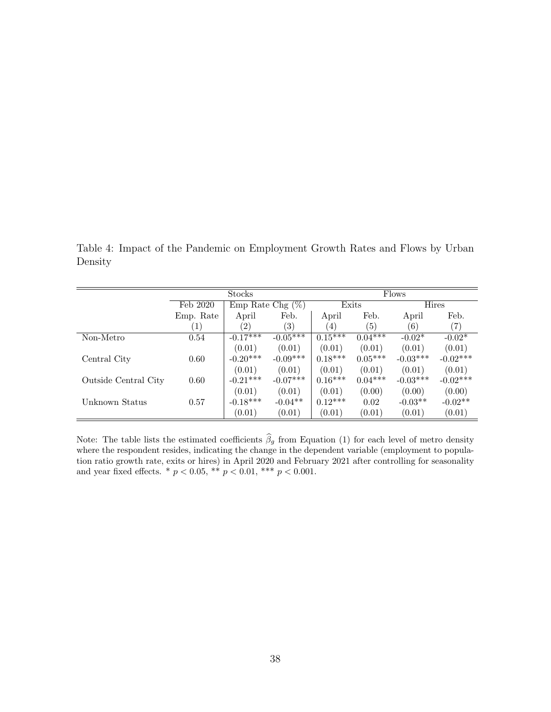Table 4: Impact of the Pandemic on Employment Growth Rates and Flows by Urban Density

|                      | Stocks                          |               |            | Flows            |           |            |            |  |
|----------------------|---------------------------------|---------------|------------|------------------|-----------|------------|------------|--|
|                      | Emp Rate Chg $(\%)$<br>Feb 2020 |               |            | Exits            | Hires     |            |            |  |
|                      | Emp. Rate                       | April         | Feb.       | April            | Feb.      | April      | Feb.       |  |
|                      | $\left(1\right)$                | $^{\prime}2)$ | (3)        | $\left(4\right)$ | (5)       | (6)        | (7)        |  |
| Non-Metro            | 0.54                            | $-0.17***$    | $-0.05***$ | $0.15***$        | $0.04***$ | $-0.02*$   | $-0.02*$   |  |
|                      |                                 | (0.01)        | (0.01)     | (0.01)           | (0.01)    | (0.01)     | (0.01)     |  |
| Central City         | 0.60                            | $-0.20***$    | $-0.09***$ | $0.18***$        | $0.05***$ | $-0.03***$ | $-0.02***$ |  |
|                      |                                 | (0.01)        | (0.01)     | (0.01)           | (0.01)    | (0.01)     | (0.01)     |  |
| Outside Central City | 0.60                            | $-0.21***$    | $-0.07***$ | $0.16***$        | $0.04***$ | $-0.03***$ | $-0.02***$ |  |
|                      |                                 | (0.01)        | (0.01)     | (0.01)           | (0.00)    | (0.00)     | (0.00)     |  |
| Unknown Status       | 0.57                            | $-0.18***$    | $-0.04**$  | $0.12***$        | 0.02      | $-0.03**$  | $-0.02**$  |  |
|                      |                                 | (0.01)        | (0.01)     | (0.01)           | (0.01)    | (0.01)     | (0.01)     |  |

Note: The table lists the estimated coefficients  $\beta_g$  from Equation (1) for each level of metro density where the respondent resides, indicating the change in the dependent variable (employment to population ratio growth rate, exits or hires) in April 2020 and February 2021 after controlling for seasonality and year fixed effects. \*  $p < 0.05$ , \*\*  $p < 0.01$ , \*\*\*  $p < 0.001$ .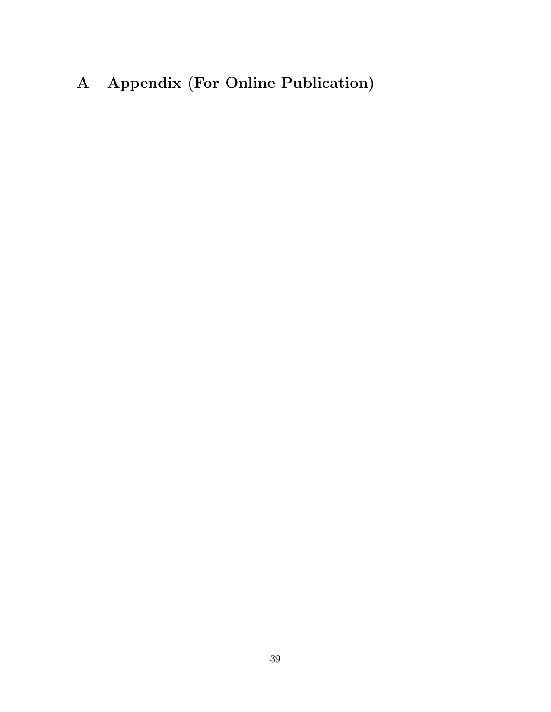# A Appendix (For Online Publication)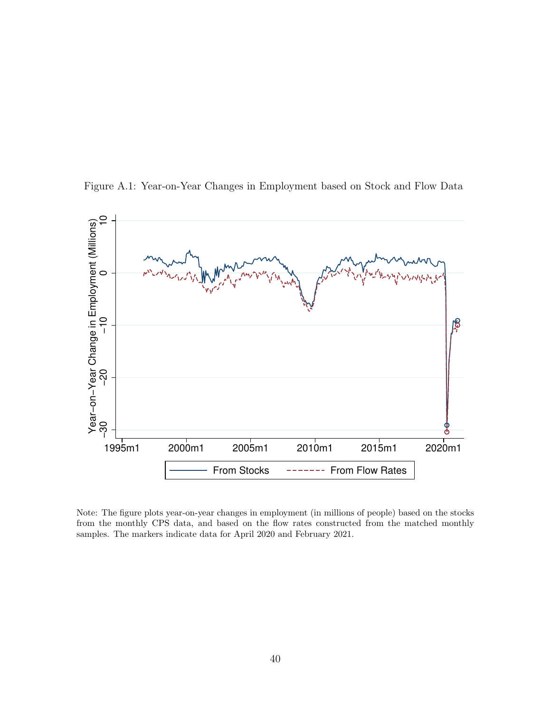



Note: The figure plots year-on-year changes in employment (in millions of people) based on the stocks from the monthly CPS data, and based on the flow rates constructed from the matched monthly samples. The markers indicate data for April 2020 and February 2021.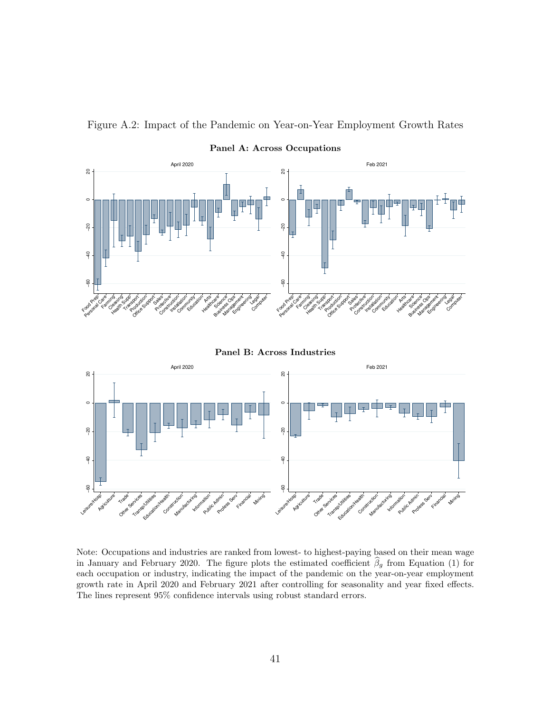

Figure A.2: Impact of the Pandemic on Year-on-Year Employment Growth Rates

Panel B: Across Industries



Note: Occupations and industries are ranked from lowest- to highest-paying based on their mean wage in January and February 2020. The figure plots the estimated coefficient  $\hat{\beta}_g$  from Equation (1) for each occupation or industry, indicating the impact of the pandemic on the year-on-year employment growth rate in April 2020 and February 2021 after controlling for seasonality and year fixed effects. The lines represent 95% confidence intervals using robust standard errors.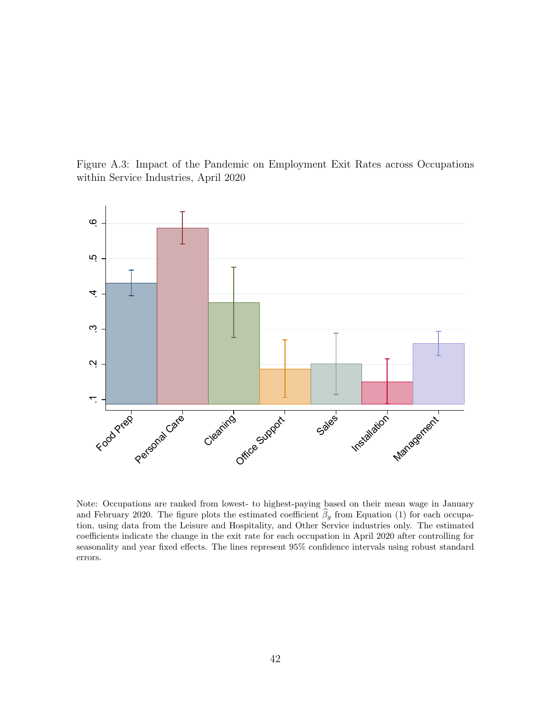Figure A.3: Impact of the Pandemic on Employment Exit Rates across Occupations within Service Industries, April 2020



Note: Occupations are ranked from lowest- to highest-paying based on their mean wage in January and February 2020. The figure plots the estimated coefficient  $\beta_g$  from Equation (1) for each occupation, using data from the Leisure and Hospitality, and Other Service industries only. The estimated coefficients indicate the change in the exit rate for each occupation in April 2020 after controlling for seasonality and year fixed effects. The lines represent 95% confidence intervals using robust standard errors.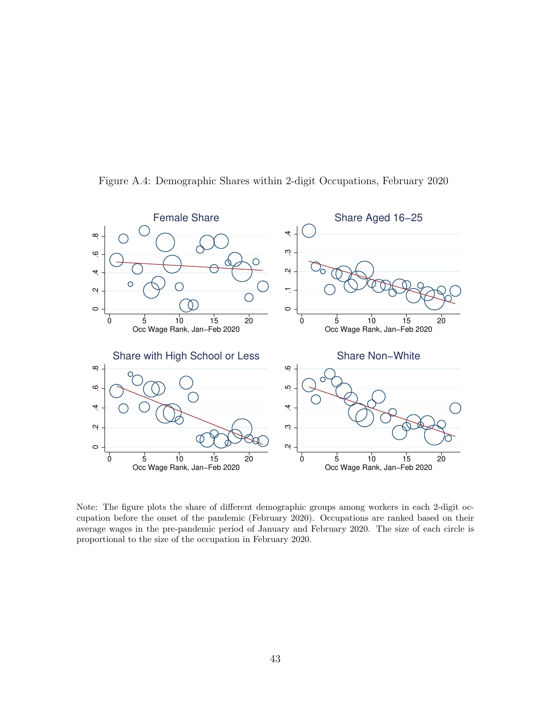

Figure A.4: Demographic Shares within 2-digit Occupations, February 2020

Note: The figure plots the share of different demographic groups among workers in each 2-digit occupation before the onset of the pandemic (February 2020). Occupations are ranked based on their average wages in the pre-pandemic period of January and February 2020. The size of each circle is proportional to the size of the occupation in February 2020.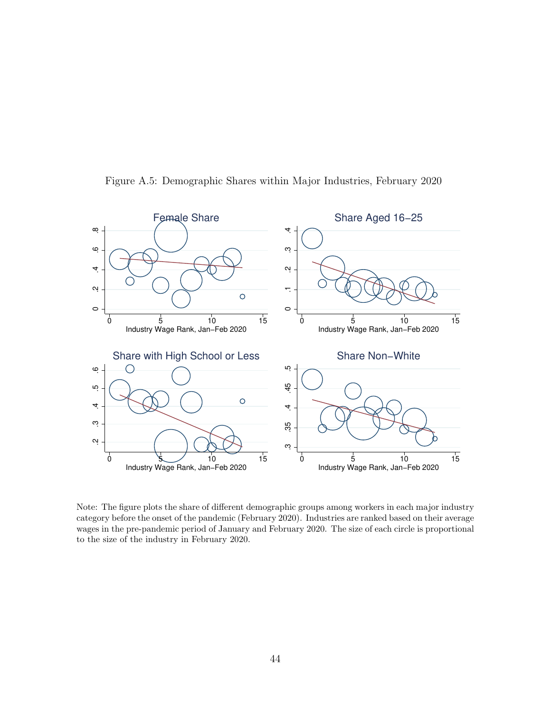

Figure A.5: Demographic Shares within Major Industries, February 2020

Note: The figure plots the share of different demographic groups among workers in each major industry category before the onset of the pandemic (February 2020). Industries are ranked based on their average wages in the pre-pandemic period of January and February 2020. The size of each circle is proportional to the size of the industry in February 2020.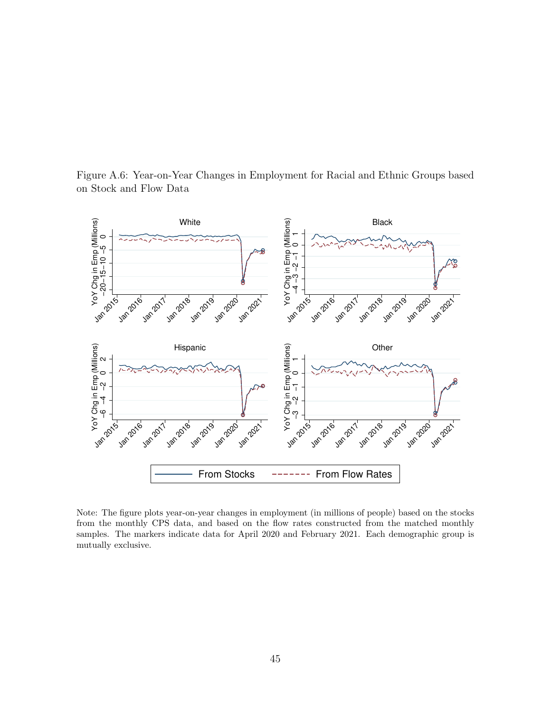Figure A.6: Year-on-Year Changes in Employment for Racial and Ethnic Groups based on Stock and Flow Data



Note: The figure plots year-on-year changes in employment (in millions of people) based on the stocks from the monthly CPS data, and based on the flow rates constructed from the matched monthly samples. The markers indicate data for April 2020 and February 2021. Each demographic group is mutually exclusive.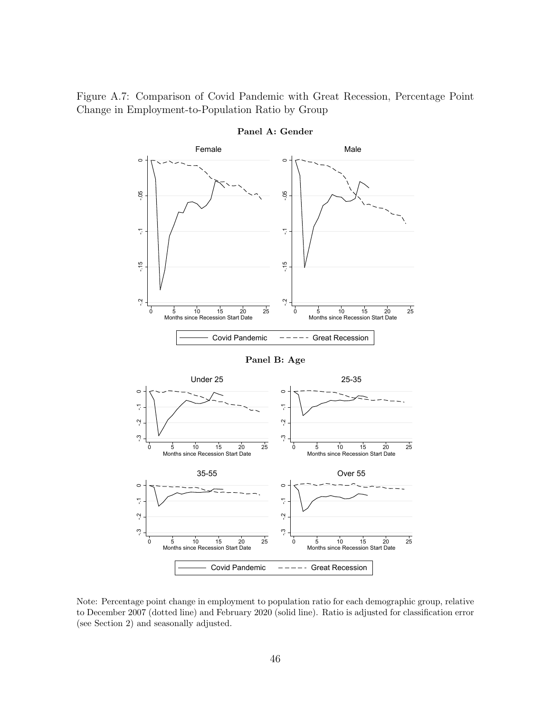Figure A.7: Comparison of Covid Pandemic with Great Recession, Percentage Point Change in Employment-to-Population Ratio by Group



Panel A: Gender

Note: Percentage point change in employment to population ratio for each demographic group, relative to December 2007 (dotted line) and February 2020 (solid line). Ratio is adjusted for classification error (see Section 2) and seasonally adjusted.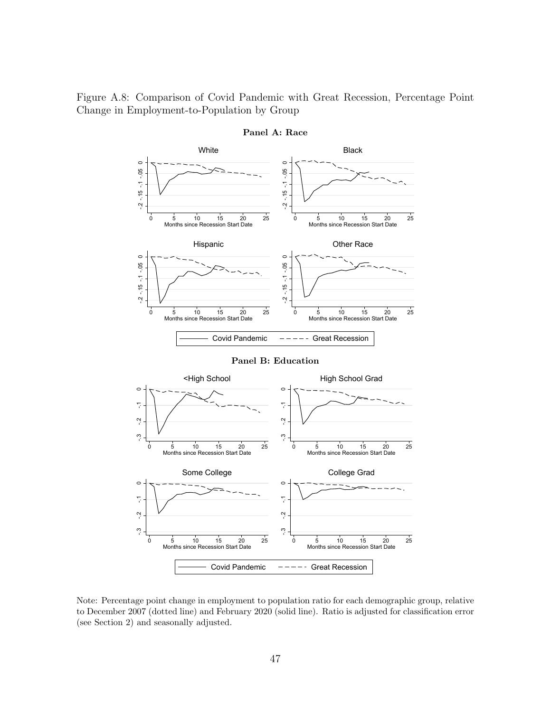Figure A.8: Comparison of Covid Pandemic with Great Recession, Percentage Point Change in Employment-to-Population by Group



Panel A: Race

Note: Percentage point change in employment to population ratio for each demographic group, relative to December 2007 (dotted line) and February 2020 (solid line). Ratio is adjusted for classification error (see Section 2) and seasonally adjusted.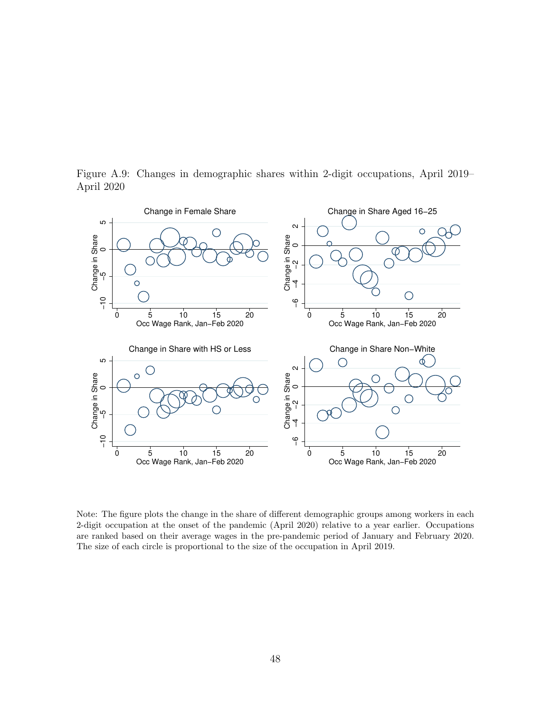Figure A.9: Changes in demographic shares within 2-digit occupations, April 2019– April 2020



Note: The figure plots the change in the share of different demographic groups among workers in each 2-digit occupation at the onset of the pandemic (April 2020) relative to a year earlier. Occupations are ranked based on their average wages in the pre-pandemic period of January and February 2020. The size of each circle is proportional to the size of the occupation in April 2019.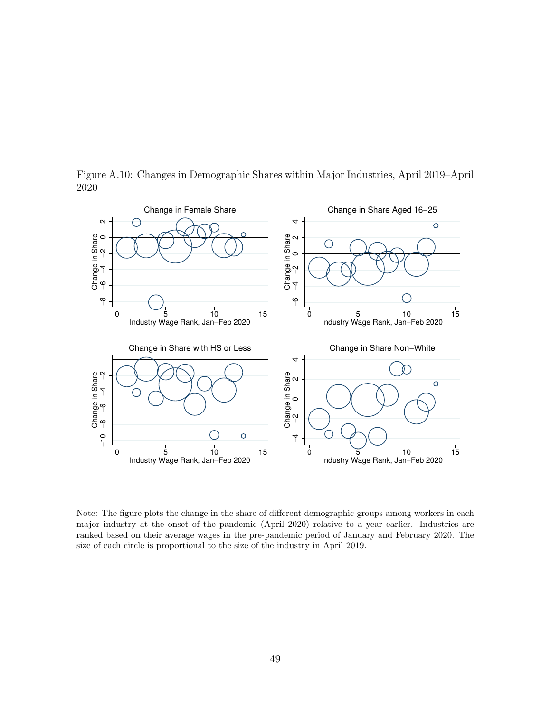

Figure A.10: Changes in Demographic Shares within Major Industries, April 2019–April 2020

Note: The figure plots the change in the share of different demographic groups among workers in each major industry at the onset of the pandemic (April 2020) relative to a year earlier. Industries are ranked based on their average wages in the pre-pandemic period of January and February 2020. The size of each circle is proportional to the size of the industry in April 2019.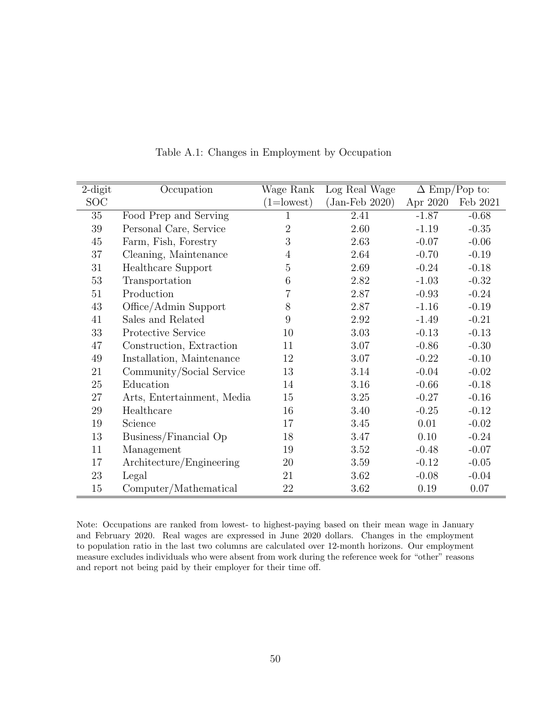| $2$ -digit | Occupation                 | Wage Rank      | Log Real Wage    | $\Delta$ Emp/Pop to: |          |
|------------|----------------------------|----------------|------------------|----------------------|----------|
| <b>SOC</b> |                            | $(1=lowest)$   | $(Jan-Feb 2020)$ | Apr 2020             | Feb 2021 |
| 35         | Food Prep and Serving      | 1              | 2.41             | $-1.87$              | $-0.68$  |
| $39\,$     | Personal Care, Service     | $\overline{2}$ | 2.60             | $-1.19$              | $-0.35$  |
| 45         | Farm, Fish, Forestry       | 3              | 2.63             | $-0.07$              | $-0.06$  |
| 37         | Cleaning, Maintenance      | $\overline{4}$ | 2.64             | $-0.70$              | $-0.19$  |
| 31         | Healthcare Support         | 5              | 2.69             | $-0.24$              | $-0.18$  |
| 53         | Transportation             | 6              | 2.82             | $-1.03$              | $-0.32$  |
| 51         | Production                 | $\overline{7}$ | 2.87             | $-0.93$              | $-0.24$  |
| 43         | Office/Admin Support       | 8              | 2.87             | $-1.16$              | $-0.19$  |
| 41         | Sales and Related          | 9              | 2.92             | $-1.49$              | $-0.21$  |
| 33         | Protective Service         | 10             | 3.03             | $-0.13$              | $-0.13$  |
| 47         | Construction, Extraction   | 11             | 3.07             | $-0.86$              | $-0.30$  |
| $49\,$     | Installation, Maintenance  | 12             | 3.07             | $-0.22$              | $-0.10$  |
| 21         | Community/Social Service   | 13             | 3.14             | $-0.04$              | $-0.02$  |
| $25\,$     | Education                  | 14             | 3.16             | $-0.66$              | $-0.18$  |
| 27         | Arts, Entertainment, Media | 15             | 3.25             | $-0.27$              | $-0.16$  |
| $29\,$     | Healthcare                 | 16             | 3.40             | $-0.25$              | $-0.12$  |
| 19         | Science                    | 17             | 3.45             | 0.01                 | $-0.02$  |
| 13         | Business/Financial Op      | 18             | 3.47             | 0.10                 | $-0.24$  |
| 11         | Management                 | 19             | 3.52             | $-0.48$              | $-0.07$  |
| 17         | Architecture/Engineering   | 20             | 3.59             | $-0.12$              | $-0.05$  |
| 23         | Legal                      | 21             | 3.62             | $-0.08$              | $-0.04$  |
| 15         | Computer/Mathematical      | 22             | 3.62             | 0.19                 | 0.07     |

Table A.1: Changes in Employment by Occupation

Note: Occupations are ranked from lowest- to highest-paying based on their mean wage in January and February 2020. Real wages are expressed in June 2020 dollars. Changes in the employment to population ratio in the last two columns are calculated over 12-month horizons. Our employment measure excludes individuals who were absent from work during the reference week for "other" reasons and report not being paid by their employer for their time off.